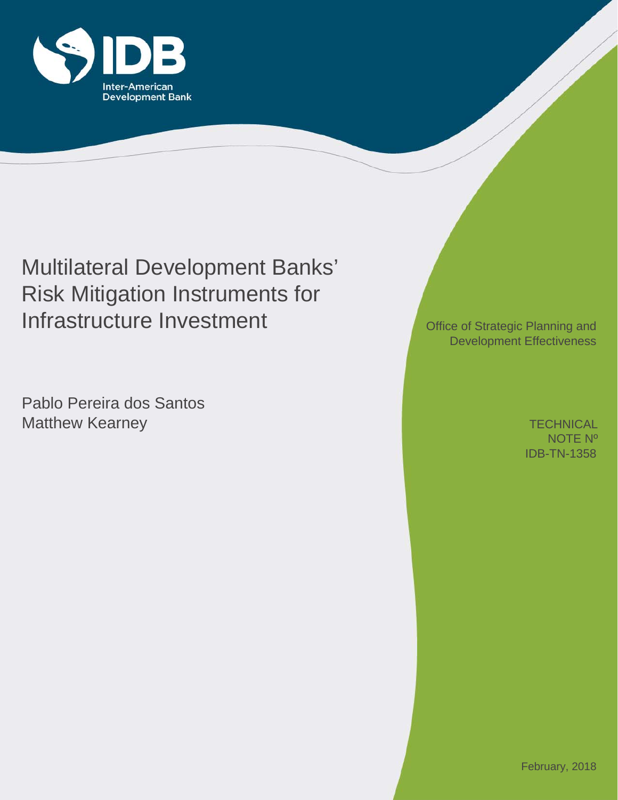

# Multilateral Development Banks' Risk Mitigation Instruments for Infrastructure Investment

Pablo Pereira dos Santos Matthew Kearney

Office of Strategic Planning and Development Effectiveness

> IDB-TN-1358 **TECHNICAL** NOTE Nº

February, 2018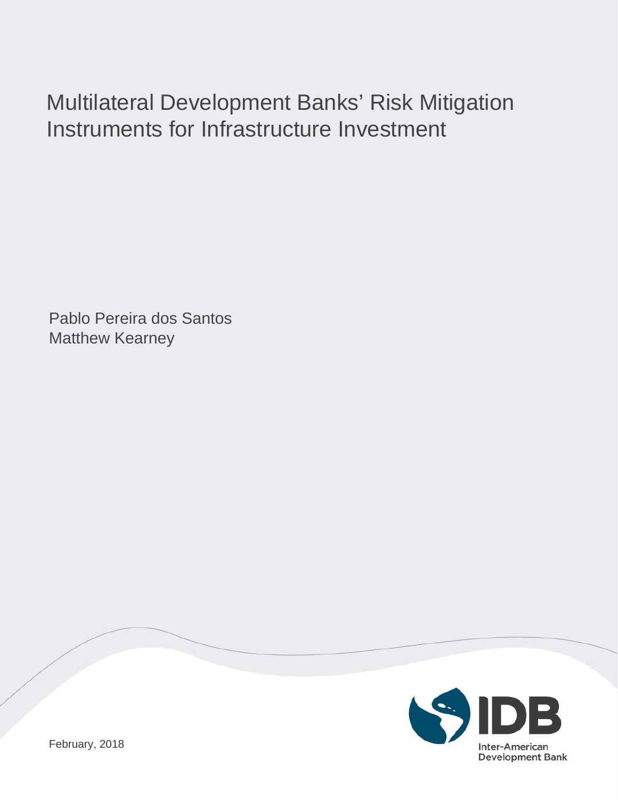# Multilateral Development Banks' Risk Mitigation Instruments for Infrastructure Investment

Pablo Pereira dos Santos Matthew Kearney

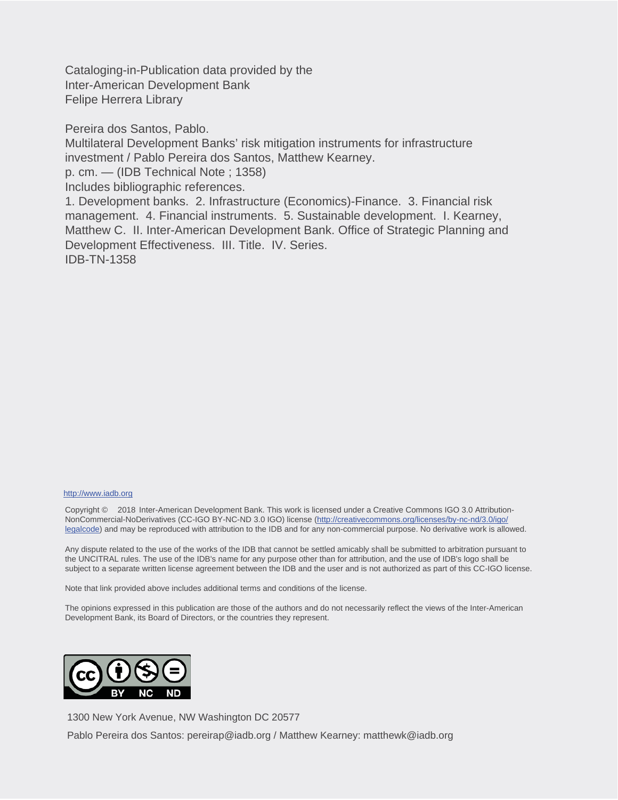Cataloging-in-Publication data provided by the Inter-American Development Bank Felipe Herrera Library

Pereira dos Santos, Pablo.

Multilateral Development Banks' risk mitigation instruments for infrastructure investment / Pablo Pereira dos Santos, Matthew Kearney.

p. cm. — (IDB Technical Note ; 1358)

Includes bibliographic references.

1. Development banks. 2. Infrastructure (Economics)-Finance. 3. Financial risk management. 4. Financial instruments. 5. Sustainable development. I. Kearney, Matthew C. II. Inter-American Development Bank. Office of Strategic Planning and Development Effectiveness. III. Title. IV. Series. IDB-TN-1358

#### http://www.iadb.org

Copyright © 2018 Inter-American Development Bank. This work is licensed under a Creative Commons IGO 3.0 Attribution-NonCommercial-NoDerivatives (CC-IGO BY-NC-ND 3.0 IGO) license (http://creativecommons.org/licenses/by-nc-nd/3.0/igo/ legalcode) and may be reproduced with attribution to the IDB and for any non-commercial purpose. No derivative work is allowed.

Any dispute related to the use of the works of the IDB that cannot be settled amicably shall be submitted to arbitration pursuant to the UNCITRAL rules. The use of the IDB's name for any purpose other than for attribution, and the use of IDB's logo shall be subject to a separate written license agreement between the IDB and the user and is not authorized as part of this CC-IGO license.

Note that link provided above includes additional terms and conditions of the license.

The opinions expressed in this publication are those of the authors and do not necessarily reflect the views of the Inter-American Development Bank, its Board of Directors, or the countries they represent.



1300 New York Avenue, NW Washington DC 20577 Pablo Pereira dos Santos: pereirap@iadb.org / Matthew Kearney: matthewk@iadb.org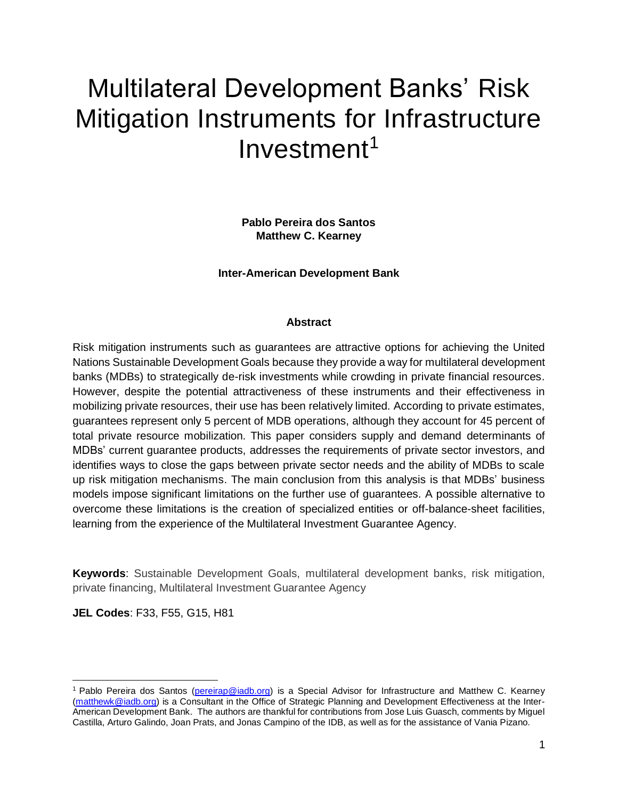# Multilateral Development Banks' Risk Mitigation Instruments for Infrastructure Investment<sup>1</sup>

**Pablo Pereira dos Santos Matthew C. Kearney**

**Inter-American Development Bank** 

#### **Abstract**

Risk mitigation instruments such as guarantees are attractive options for achieving the United Nations Sustainable Development Goals because they provide a way for multilateral development banks (MDBs) to strategically de-risk investments while crowding in private financial resources. However, despite the potential attractiveness of these instruments and their effectiveness in mobilizing private resources, their use has been relatively limited. According to private estimates, guarantees represent only 5 percent of MDB operations, although they account for 45 percent of total private resource mobilization. This paper considers supply and demand determinants of MDBs' current guarantee products, addresses the requirements of private sector investors, and identifies ways to close the gaps between private sector needs and the ability of MDBs to scale up risk mitigation mechanisms. The main conclusion from this analysis is that MDBs' business models impose significant limitations on the further use of guarantees. A possible alternative to overcome these limitations is the creation of specialized entities or off-balance-sheet facilities, learning from the experience of the Multilateral Investment Guarantee Agency.

**Keywords**: Sustainable Development Goals, multilateral development banks, risk mitigation, private financing, Multilateral Investment Guarantee Agency

**JEL Codes**: F33, F55, G15, H81

 $\overline{\phantom{0}}$ 

<sup>&</sup>lt;sup>1</sup> Pablo Pereira dos Santos [\(pereirap@iadb.org\)](mailto:pereirap@iadb.org) is a Special Advisor for Infrastructure and Matthew C. Kearney [\(matthewk@iadb.org\)](mailto:matthewk@iadb.org) is a Consultant in the Office of Strategic Planning and Development Effectiveness at the Inter-American Development Bank. The authors are thankful for contributions from Jose Luis Guasch, comments by Miguel Castilla, Arturo Galindo, Joan Prats, and Jonas Campino of the IDB, as well as for the assistance of Vania Pizano.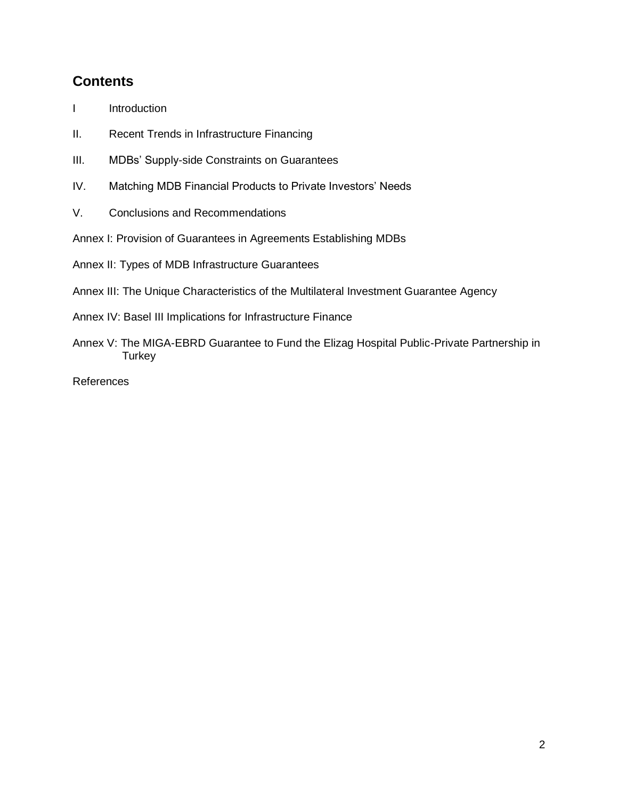## **Contents**

- I Introduction
- II. Recent Trends in Infrastructure Financing
- III. MDBs' Supply-side Constraints on Guarantees
- IV. Matching MDB Financial Products to Private Investors' Needs
- V. Conclusions and Recommendations
- Annex I: Provision of Guarantees in Agreements Establishing MDBs

Annex II: Types of MDB Infrastructure Guarantees

Annex III: The Unique Characteristics of the Multilateral Investment Guarantee Agency

Annex IV: Basel III Implications for Infrastructure Finance

Annex V: The MIGA-EBRD Guarantee to Fund the Elizag Hospital Public-Private Partnership in **Turkey** 

References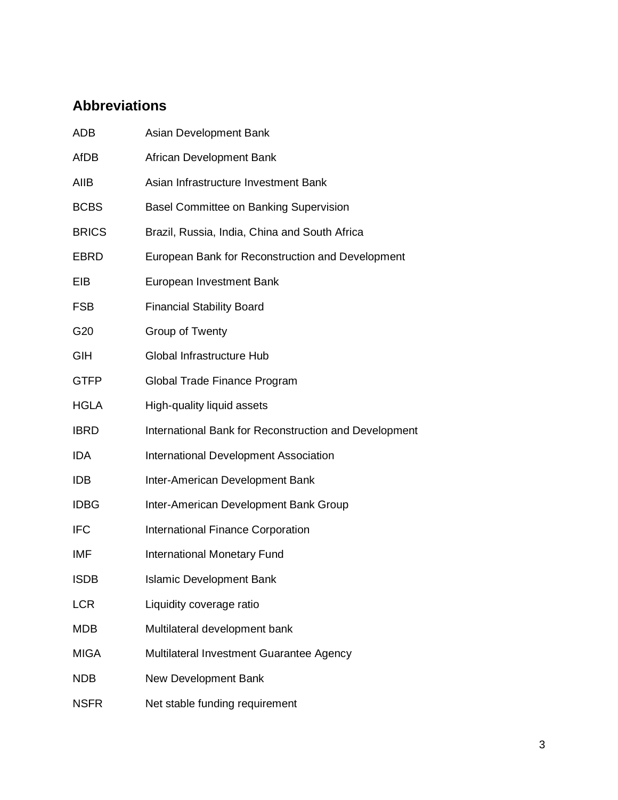## **Abbreviations**

| ADB          | Asian Development Bank                                |
|--------------|-------------------------------------------------------|
| <b>AfDB</b>  | African Development Bank                              |
| AIIB         | Asian Infrastructure Investment Bank                  |
| <b>BCBS</b>  | <b>Basel Committee on Banking Supervision</b>         |
| <b>BRICS</b> | Brazil, Russia, India, China and South Africa         |
| EBRD         | European Bank for Reconstruction and Development      |
| EIB          | European Investment Bank                              |
| <b>FSB</b>   | <b>Financial Stability Board</b>                      |
| G20          | Group of Twenty                                       |
| GIH          | Global Infrastructure Hub                             |
| <b>GTFP</b>  | Global Trade Finance Program                          |
| <b>HGLA</b>  | High-quality liquid assets                            |
| <b>IBRD</b>  | International Bank for Reconstruction and Development |
| <b>IDA</b>   | International Development Association                 |
| <b>IDB</b>   | Inter-American Development Bank                       |
| <b>IDBG</b>  | Inter-American Development Bank Group                 |
| <b>IFC</b>   | International Finance Corporation                     |
| IMF          | International Monetary Fund                           |
| <b>ISDB</b>  | <b>Islamic Development Bank</b>                       |
| <b>LCR</b>   | Liquidity coverage ratio                              |
| <b>MDB</b>   | Multilateral development bank                         |
| <b>MIGA</b>  | Multilateral Investment Guarantee Agency              |
| <b>NDB</b>   | New Development Bank                                  |
| <b>NSFR</b>  | Net stable funding requirement                        |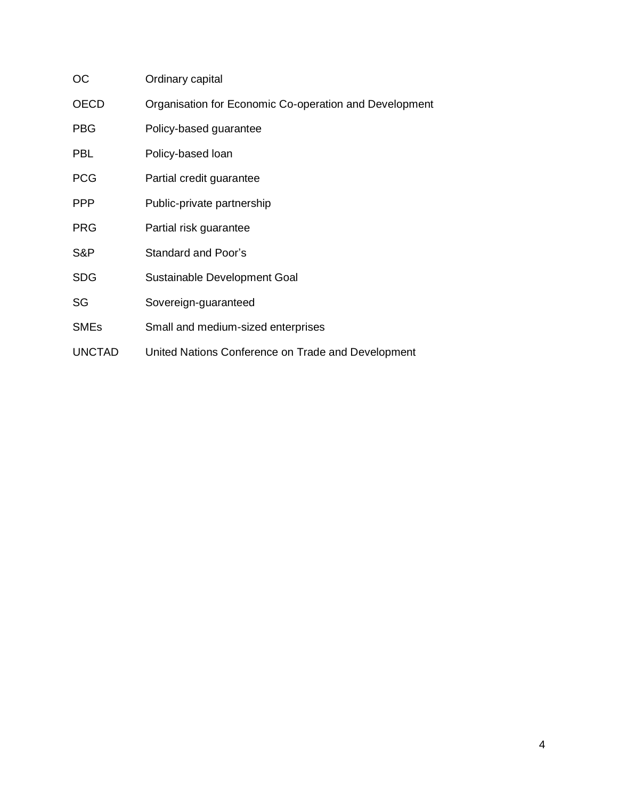| OС            | Ordinary capital                                       |
|---------------|--------------------------------------------------------|
| <b>OECD</b>   | Organisation for Economic Co-operation and Development |
| <b>PBG</b>    | Policy-based guarantee                                 |
| <b>PBL</b>    | Policy-based loan                                      |
| <b>PCG</b>    | Partial credit guarantee                               |
| <b>PPP</b>    | Public-private partnership                             |
| <b>PRG</b>    | Partial risk guarantee                                 |
| S&P           | Standard and Poor's                                    |
| <b>SDG</b>    | Sustainable Development Goal                           |
| SG            | Sovereign-guaranteed                                   |
| <b>SMEs</b>   | Small and medium-sized enterprises                     |
| <b>UNCTAD</b> | United Nations Conference on Trade and Development     |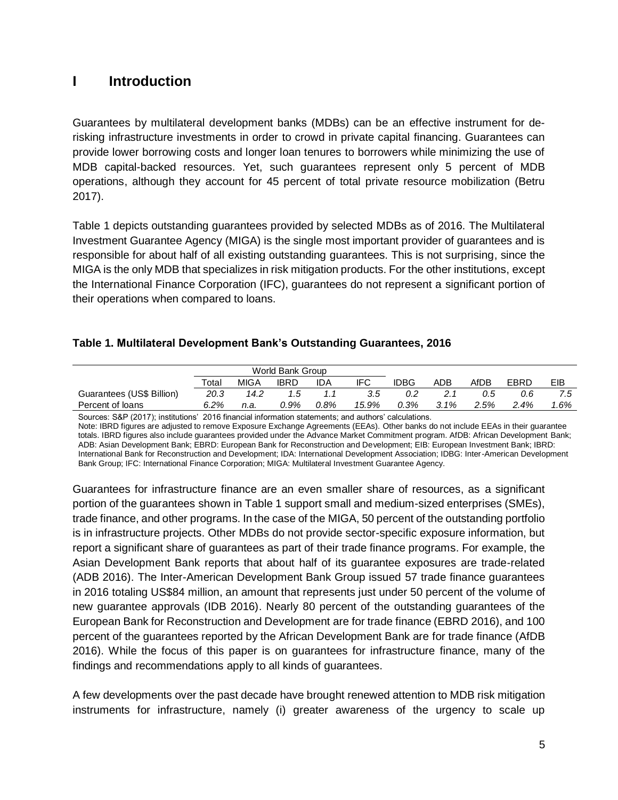## **I Introduction**

Guarantees by multilateral development banks (MDBs) can be an effective instrument for derisking infrastructure investments in order to crowd in private capital financing. Guarantees can provide lower borrowing costs and longer loan tenures to borrowers while minimizing the use of MDB capital-backed resources. Yet, such guarantees represent only 5 percent of MDB operations, although they account for 45 percent of total private resource mobilization (Betru 2017).

Table 1 depicts outstanding guarantees provided by selected MDBs as of 2016. The Multilateral Investment Guarantee Agency (MIGA) is the single most important provider of guarantees and is responsible for about half of all existing outstanding guarantees. This is not surprising, since the MIGA is the only MDB that specializes in risk mitigation products. For the other institutions, except the International Finance Corporation (IFC), guarantees do not represent a significant portion of their operations when compared to loans.

#### **Table 1. Multilateral Development Bank's Outstanding Guarantees, 2016**

|                           |       |             | World Bank Group |      |       |      |      |      |      |     |
|---------------------------|-------|-------------|------------------|------|-------|------|------|------|------|-----|
|                           | Total | <b>MIGA</b> | <b>IBRD</b>      | IDA  | IFC   | IDBG | ADB  | AfDB | EBRD | EIB |
| Guarantees (US\$ Billion) | 20.3  | 14.2        | '.5              |      | 3.5   | 0.2  |      | 0.5  | 0.6  | 7.5 |
| Percent of loans          | 6.2%  | n.a.        | 0.9%             | 0.8% | 15.9% | 0.3% | 3.1% | 2.5% | 2.4% | .6% |

Sources: S&P (2017); institutions' 2016 financial information statements; and authors' calculations. Note: IBRD figures are adjusted to remove Exposure Exchange Agreements (EEAs). Other banks do not include EEAs in their guarantee totals. IBRD figures also include guarantees provided under the Advance Market Commitment program. AfDB: African Development Bank; ADB: Asian Development Bank; EBRD: European Bank for Reconstruction and Development; EIB: European Investment Bank; IBRD: International Bank for Reconstruction and Development; IDA: International Development Association; IDBG: Inter-American Development Bank Group; IFC: International Finance Corporation; MIGA: Multilateral Investment Guarantee Agency.

Guarantees for infrastructure finance are an even smaller share of resources, as a significant portion of the guarantees shown in Table 1 support small and medium-sized enterprises (SMEs), trade finance, and other programs. In the case of the MIGA, 50 percent of the outstanding portfolio is in infrastructure projects. Other MDBs do not provide sector-specific exposure information, but report a significant share of guarantees as part of their trade finance programs. For example, the Asian Development Bank reports that about half of its guarantee exposures are trade-related (ADB 2016). The Inter-American Development Bank Group issued 57 trade finance guarantees in 2016 totaling US\$84 million, an amount that represents just under 50 percent of the volume of new guarantee approvals (IDB 2016). Nearly 80 percent of the outstanding guarantees of the European Bank for Reconstruction and Development are for trade finance (EBRD 2016), and 100 percent of the guarantees reported by the African Development Bank are for trade finance (AfDB 2016). While the focus of this paper is on guarantees for infrastructure finance, many of the findings and recommendations apply to all kinds of guarantees.

A few developments over the past decade have brought renewed attention to MDB risk mitigation instruments for infrastructure, namely (i) greater awareness of the urgency to scale up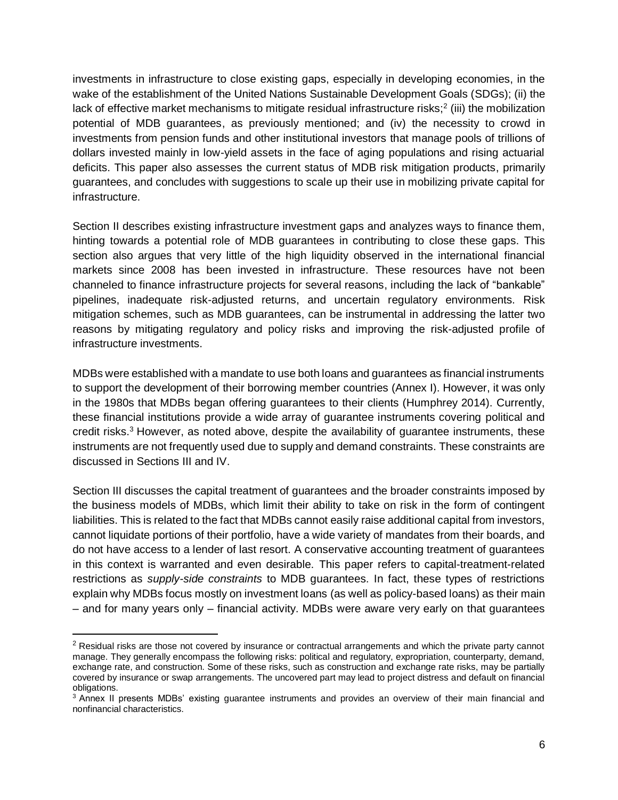investments in infrastructure to close existing gaps, especially in developing economies, in the wake of the establishment of the United Nations Sustainable Development Goals (SDGs); (ii) the lack of effective market mechanisms to mitigate residual infrastructure risks;<sup>2</sup> (iii) the mobilization potential of MDB guarantees, as previously mentioned; and (iv) the necessity to crowd in investments from pension funds and other institutional investors that manage pools of trillions of dollars invested mainly in low-yield assets in the face of aging populations and rising actuarial deficits. This paper also assesses the current status of MDB risk mitigation products, primarily guarantees, and concludes with suggestions to scale up their use in mobilizing private capital for infrastructure.

Section II describes existing infrastructure investment gaps and analyzes ways to finance them, hinting towards a potential role of MDB guarantees in contributing to close these gaps. This section also argues that very little of the high liquidity observed in the international financial markets since 2008 has been invested in infrastructure. These resources have not been channeled to finance infrastructure projects for several reasons, including the lack of "bankable" pipelines, inadequate risk-adjusted returns, and uncertain regulatory environments. Risk mitigation schemes, such as MDB guarantees, can be instrumental in addressing the latter two reasons by mitigating regulatory and policy risks and improving the risk-adjusted profile of infrastructure investments.

MDBs were established with a mandate to use both loans and guarantees as financial instruments to support the development of their borrowing member countries (Annex I). However, it was only in the 1980s that MDBs began offering guarantees to their clients (Humphrey 2014). Currently, these financial institutions provide a wide array of guarantee instruments covering political and credit risks. <sup>3</sup> However, as noted above, despite the availability of guarantee instruments, these instruments are not frequently used due to supply and demand constraints. These constraints are discussed in Sections III and IV.

Section III discusses the capital treatment of guarantees and the broader constraints imposed by the business models of MDBs, which limit their ability to take on risk in the form of contingent liabilities. This is related to the fact that MDBs cannot easily raise additional capital from investors, cannot liquidate portions of their portfolio, have a wide variety of mandates from their boards, and do not have access to a lender of last resort. A conservative accounting treatment of guarantees in this context is warranted and even desirable. This paper refers to capital-treatment-related restrictions as *supply-side constraints* to MDB guarantees. In fact, these types of restrictions explain why MDBs focus mostly on investment loans (as well as policy-based loans) as their main – and for many years only – financial activity. MDBs were aware very early on that guarantees

 $\overline{a}$ 

<sup>&</sup>lt;sup>2</sup> Residual risks are those not covered by insurance or contractual arrangements and which the private party cannot manage. They generally encompass the following risks: political and regulatory, expropriation, counterparty, demand, exchange rate, and construction. Some of these risks, such as construction and exchange rate risks, may be partially covered by insurance or swap arrangements. The uncovered part may lead to project distress and default on financial obligations.

<sup>&</sup>lt;sup>3</sup> Annex II presents MDBs' existing guarantee instruments and provides an overview of their main financial and nonfinancial characteristics.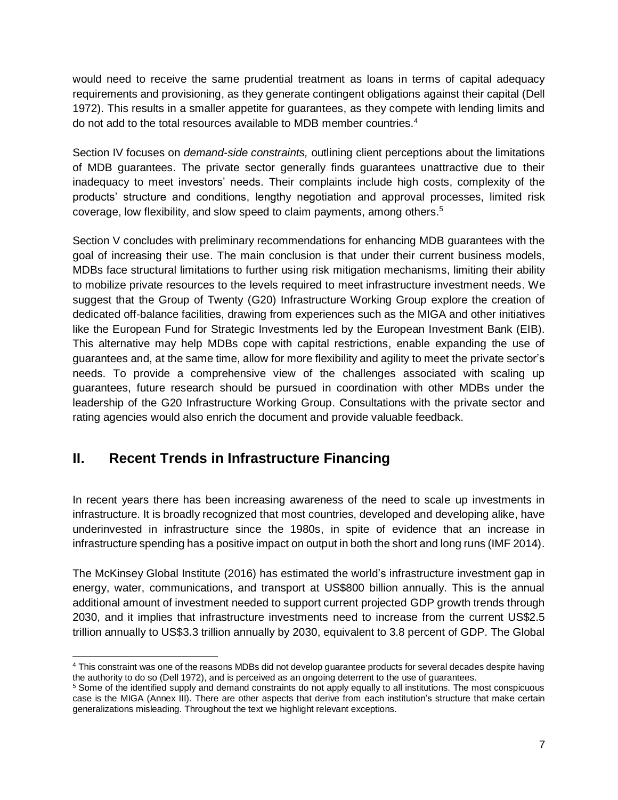would need to receive the same prudential treatment as loans in terms of capital adequacy requirements and provisioning, as they generate contingent obligations against their capital (Dell 1972). This results in a smaller appetite for guarantees, as they compete with lending limits and do not add to the total resources available to MDB member countries. 4

Section IV focuses on *demand-side constraints,* outlining client perceptions about the limitations of MDB guarantees. The private sector generally finds guarantees unattractive due to their inadequacy to meet investors' needs. Their complaints include high costs, complexity of the products' structure and conditions, lengthy negotiation and approval processes, limited risk coverage, low flexibility, and slow speed to claim payments, among others. 5

Section V concludes with preliminary recommendations for enhancing MDB guarantees with the goal of increasing their use. The main conclusion is that under their current business models, MDBs face structural limitations to further using risk mitigation mechanisms, limiting their ability to mobilize private resources to the levels required to meet infrastructure investment needs. We suggest that the Group of Twenty (G20) Infrastructure Working Group explore the creation of dedicated off-balance facilities, drawing from experiences such as the MIGA and other initiatives like the European Fund for Strategic Investments led by the European Investment Bank (EIB). This alternative may help MDBs cope with capital restrictions, enable expanding the use of guarantees and, at the same time, allow for more flexibility and agility to meet the private sector's needs. To provide a comprehensive view of the challenges associated with scaling up guarantees, future research should be pursued in coordination with other MDBs under the leadership of the G20 Infrastructure Working Group. Consultations with the private sector and rating agencies would also enrich the document and provide valuable feedback.

## **II. Recent Trends in Infrastructure Financing**

 $\overline{a}$ 

In recent years there has been increasing awareness of the need to scale up investments in infrastructure. It is broadly recognized that most countries, developed and developing alike, have underinvested in infrastructure since the 1980s, in spite of evidence that an increase in infrastructure spending has a positive impact on output in both the short and long runs (IMF 2014).

The McKinsey Global Institute (2016) has estimated the world's infrastructure investment gap in energy, water, communications, and transport at US\$800 billion annually. This is the annual additional amount of investment needed to support current projected GDP growth trends through 2030, and it implies that infrastructure investments need to increase from the current US\$2.5 trillion annually to US\$3.3 trillion annually by 2030, equivalent to 3.8 percent of GDP. The Global

<sup>4</sup> This constraint was one of the reasons MDBs did not develop guarantee products for several decades despite having the authority to do so (Dell 1972), and is perceived as an ongoing deterrent to the use of guarantees.

<sup>&</sup>lt;sup>5</sup> Some of the identified supply and demand constraints do not apply equally to all institutions. The most conspicuous case is the MIGA (Annex III). There are other aspects that derive from each institution's structure that make certain generalizations misleading. Throughout the text we highlight relevant exceptions.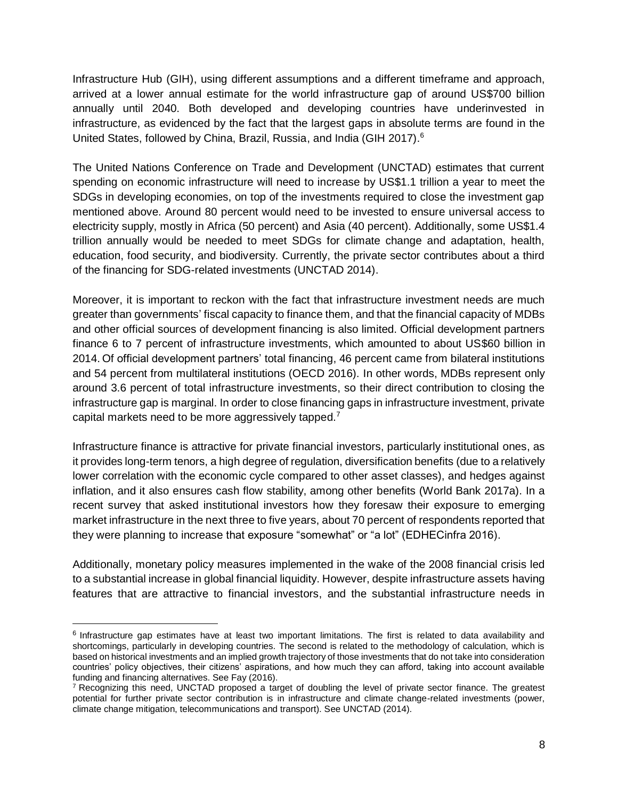Infrastructure Hub (GIH), using different assumptions and a different timeframe and approach, arrived at a lower annual estimate for the world infrastructure gap of around US\$700 billion annually until 2040. Both developed and developing countries have underinvested in infrastructure, as evidenced by the fact that the largest gaps in absolute terms are found in the United States, followed by China, Brazil, Russia, and India (GIH 2017).<sup>6</sup>

The United Nations Conference on Trade and Development (UNCTAD) estimates that current spending on economic infrastructure will need to increase by US\$1.1 trillion a year to meet the SDGs in developing economies, on top of the investments required to close the investment gap mentioned above. Around 80 percent would need to be invested to ensure universal access to electricity supply, mostly in Africa (50 percent) and Asia (40 percent). Additionally, some US\$1.4 trillion annually would be needed to meet SDGs for climate change and adaptation, health, education, food security, and biodiversity. Currently, the private sector contributes about a third of the financing for SDG-related investments (UNCTAD 2014).

Moreover, it is important to reckon with the fact that infrastructure investment needs are much greater than governments' fiscal capacity to finance them, and that the financial capacity of MDBs and other official sources of development financing is also limited. Official development partners finance 6 to 7 percent of infrastructure investments, which amounted to about US\$60 billion in 2014. Of official development partners' total financing, 46 percent came from bilateral institutions and 54 percent from multilateral institutions (OECD 2016). In other words, MDBs represent only around 3.6 percent of total infrastructure investments, so their direct contribution to closing the infrastructure gap is marginal. In order to close financing gaps in infrastructure investment, private capital markets need to be more aggressively tapped.<sup>7</sup>

Infrastructure finance is attractive for private financial investors, particularly institutional ones, as it provides long-term tenors, a high degree of regulation, diversification benefits (due to a relatively lower correlation with the economic cycle compared to other asset classes), and hedges against inflation, and it also ensures cash flow stability, among other benefits (World Bank 2017a). In a recent survey that asked institutional investors how they foresaw their exposure to emerging market infrastructure in the next three to five years, about 70 percent of respondents reported that they were planning to increase that exposure "somewhat" or "a lot" (EDHECinfra 2016).

Additionally, monetary policy measures implemented in the wake of the 2008 financial crisis led to a substantial increase in global financial liquidity. However, despite infrastructure assets having features that are attractive to financial investors, and the substantial infrastructure needs in

l

<sup>&</sup>lt;sup>6</sup> Infrastructure gap estimates have at least two important limitations. The first is related to data availability and shortcomings, particularly in developing countries. The second is related to the methodology of calculation, which is based on historical investments and an implied growth trajectory of those investments that do not take into consideration countries' policy objectives, their citizens' aspirations, and how much they can afford, taking into account available funding and financing alternatives. See Fay (2016).

 $7$  Recognizing this need, UNCTAD proposed a target of doubling the level of private sector finance. The greatest potential for further private sector contribution is in infrastructure and climate change-related investments (power, climate change mitigation, telecommunications and transport). See UNCTAD (2014).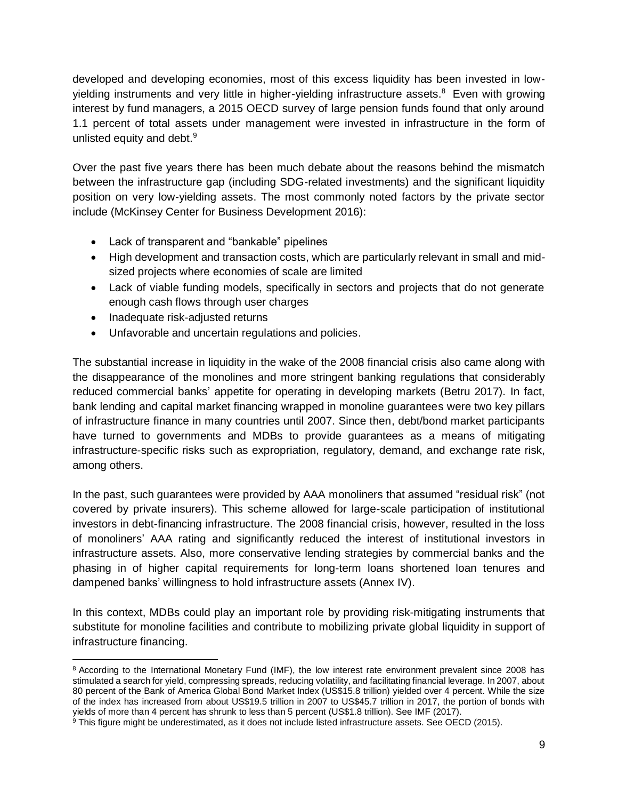developed and developing economies, most of this excess liquidity has been invested in lowyielding instruments and very little in higher-yielding infrastructure assets. <sup>8</sup> Even with growing interest by fund managers, a 2015 OECD survey of large pension funds found that only around 1.1 percent of total assets under management were invested in infrastructure in the form of unlisted equity and debt.<sup>9</sup>

Over the past five years there has been much debate about the reasons behind the mismatch between the infrastructure gap (including SDG-related investments) and the significant liquidity position on very low-yielding assets. The most commonly noted factors by the private sector include (McKinsey Center for Business Development 2016):

- Lack of transparent and "bankable" pipelines
- High development and transaction costs, which are particularly relevant in small and midsized projects where economies of scale are limited
- Lack of viable funding models, specifically in sectors and projects that do not generate enough cash flows through user charges
- Inadequate risk-adjusted returns

l

• Unfavorable and uncertain regulations and policies.

The substantial increase in liquidity in the wake of the 2008 financial crisis also came along with the disappearance of the monolines and more stringent banking regulations that considerably reduced commercial banks' appetite for operating in developing markets (Betru 2017). In fact, bank lending and capital market financing wrapped in monoline guarantees were two key pillars of infrastructure finance in many countries until 2007. Since then, debt/bond market participants have turned to governments and MDBs to provide guarantees as a means of mitigating infrastructure-specific risks such as expropriation, regulatory, demand, and exchange rate risk, among others.

In the past, such guarantees were provided by AAA monoliners that assumed "residual risk" (not covered by private insurers). This scheme allowed for large-scale participation of institutional investors in debt-financing infrastructure. The 2008 financial crisis, however, resulted in the loss of monoliners' AAA rating and significantly reduced the interest of institutional investors in infrastructure assets. Also, more conservative lending strategies by commercial banks and the phasing in of higher capital requirements for long-term loans shortened loan tenures and dampened banks' willingness to hold infrastructure assets (Annex IV).

In this context, MDBs could play an important role by providing risk-mitigating instruments that substitute for monoline facilities and contribute to mobilizing private global liquidity in support of infrastructure financing.

<sup>&</sup>lt;sup>8</sup> According to the International Monetary Fund (IMF), the low interest rate environment prevalent since 2008 has stimulated a search for yield, compressing spreads, reducing volatility, and facilitating financial leverage. In 2007, about 80 percent of the Bank of America Global Bond Market Index (US\$15.8 trillion) yielded over 4 percent. While the size of the index has increased from about US\$19.5 trillion in 2007 to US\$45.7 trillion in 2017, the portion of bonds with yields of more than 4 percent has shrunk to less than 5 percent (US\$1.8 trillion). See IMF (2017).

<sup>&</sup>lt;sup>9</sup> This figure might be underestimated, as it does not include listed infrastructure assets. See OECD (2015).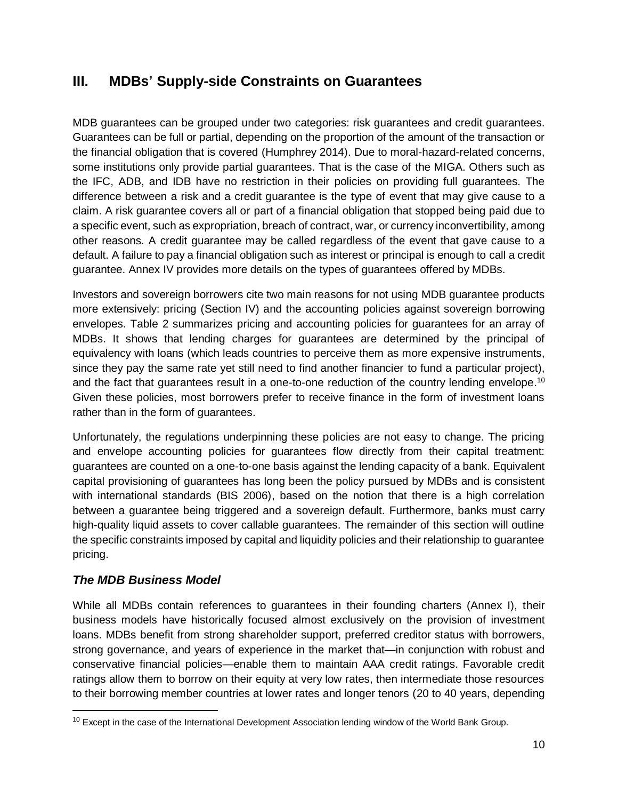## **III. MDBs' Supply-side Constraints on Guarantees**

MDB guarantees can be grouped under two categories: risk guarantees and credit guarantees. Guarantees can be full or partial, depending on the proportion of the amount of the transaction or the financial obligation that is covered (Humphrey 2014). Due to moral-hazard-related concerns, some institutions only provide partial guarantees. That is the case of the MIGA. Others such as the IFC, ADB, and IDB have no restriction in their policies on providing full guarantees. The difference between a risk and a credit guarantee is the type of event that may give cause to a claim. A risk guarantee covers all or part of a financial obligation that stopped being paid due to a specific event, such as expropriation, breach of contract, war, or currency inconvertibility, among other reasons. A credit guarantee may be called regardless of the event that gave cause to a default. A failure to pay a financial obligation such as interest or principal is enough to call a credit guarantee. Annex IV provides more details on the types of guarantees offered by MDBs.

Investors and sovereign borrowers cite two main reasons for not using MDB guarantee products more extensively: pricing (Section IV) and the accounting policies against sovereign borrowing envelopes. Table 2 summarizes pricing and accounting policies for guarantees for an array of MDBs. It shows that lending charges for guarantees are determined by the principal of equivalency with loans (which leads countries to perceive them as more expensive instruments, since they pay the same rate yet still need to find another financier to fund a particular project), and the fact that guarantees result in a one-to-one reduction of the country lending envelope.<sup>10</sup> Given these policies, most borrowers prefer to receive finance in the form of investment loans rather than in the form of guarantees.

Unfortunately, the regulations underpinning these policies are not easy to change. The pricing and envelope accounting policies for guarantees flow directly from their capital treatment: guarantees are counted on a one-to-one basis against the lending capacity of a bank. Equivalent capital provisioning of guarantees has long been the policy pursued by MDBs and is consistent with international standards (BIS 2006), based on the notion that there is a high correlation between a guarantee being triggered and a sovereign default. Furthermore, banks must carry high-quality liquid assets to cover callable guarantees. The remainder of this section will outline the specific constraints imposed by capital and liquidity policies and their relationship to guarantee pricing.

### *The MDB Business Model*

l

While all MDBs contain references to guarantees in their founding charters (Annex I), their business models have historically focused almost exclusively on the provision of investment loans. MDBs benefit from strong shareholder support, preferred creditor status with borrowers, strong governance, and years of experience in the market that—in conjunction with robust and conservative financial policies—enable them to maintain AAA credit ratings. Favorable credit ratings allow them to borrow on their equity at very low rates, then intermediate those resources to their borrowing member countries at lower rates and longer tenors (20 to 40 years, depending

<sup>&</sup>lt;sup>10</sup> Except in the case of the International Development Association lending window of the World Bank Group.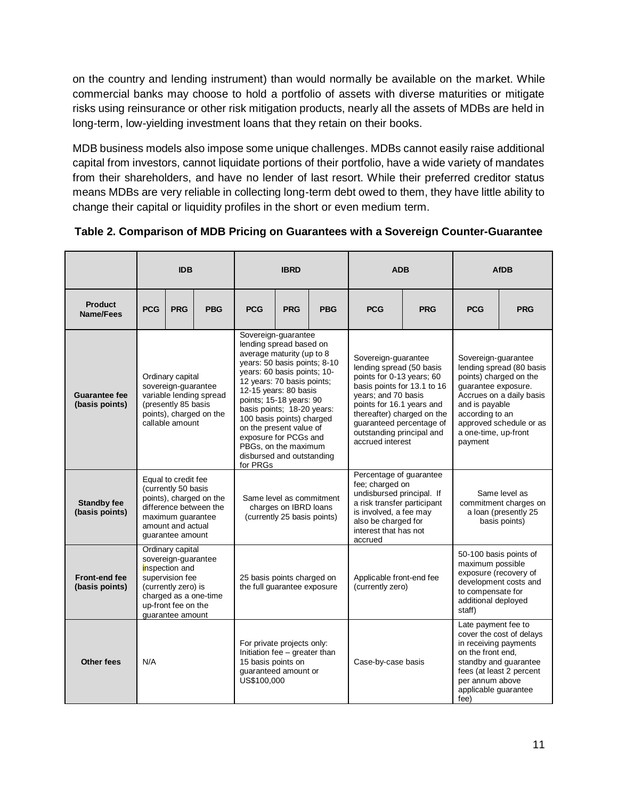on the country and lending instrument) than would normally be available on the market. While commercial banks may choose to hold a portfolio of assets with diverse maturities or mitigate risks using reinsurance or other risk mitigation products, nearly all the assets of MDBs are held in long-term, low-yielding investment loans that they retain on their books.

MDB business models also impose some unique challenges. MDBs cannot easily raise additional capital from investors, cannot liquidate portions of their portfolio, have a wide variety of mandates from their shareholders, and have no lender of last resort. While their preferred creditor status means MDBs are very reliable in collecting long-term debt owed to them, they have little ability to change their capital or liquidity profiles in the short or even medium term.

|                                        | <b>IDB</b>                                                                                                                                                              |            | <b>IBRD</b>                                                                                                                                                                                                                                                                                                                                                                                                  |                                                      | <b>ADB</b>                                                                                                                                                                                                                                                                 |                                                                                                                                                                                             | <b>AfDB</b>                                                                                                                                                                                                                     |                                                                                                                           |                                                                                 |            |
|----------------------------------------|-------------------------------------------------------------------------------------------------------------------------------------------------------------------------|------------|--------------------------------------------------------------------------------------------------------------------------------------------------------------------------------------------------------------------------------------------------------------------------------------------------------------------------------------------------------------------------------------------------------------|------------------------------------------------------|----------------------------------------------------------------------------------------------------------------------------------------------------------------------------------------------------------------------------------------------------------------------------|---------------------------------------------------------------------------------------------------------------------------------------------------------------------------------------------|---------------------------------------------------------------------------------------------------------------------------------------------------------------------------------------------------------------------------------|---------------------------------------------------------------------------------------------------------------------------|---------------------------------------------------------------------------------|------------|
| <b>Product</b><br>Name/Fees            | <b>PCG</b>                                                                                                                                                              | <b>PRG</b> | <b>PBG</b>                                                                                                                                                                                                                                                                                                                                                                                                   | <b>PCG</b>                                           | <b>PRG</b>                                                                                                                                                                                                                                                                 | <b>PBG</b>                                                                                                                                                                                  | <b>PCG</b>                                                                                                                                                                                                                      | <b>PRG</b>                                                                                                                | <b>PCG</b>                                                                      | <b>PRG</b> |
| <b>Guarantee fee</b><br>(basis points) | Ordinary capital<br>sovereign-guarantee<br>variable lending spread<br>(presently 85 basis<br>points), charged on the<br>callable amount                                 |            | Sovereign-guarantee<br>lending spread based on<br>average maturity (up to 8<br>years: 50 basis points; 8-10<br>years: 60 basis points; 10-<br>12 years: 70 basis points;<br>12-15 years: 80 basis<br>points; 15-18 years: 90<br>basis points; 18-20 years:<br>100 basis points) charged<br>on the present value of<br>exposure for PCGs and<br>PBGs, on the maximum<br>disbursed and outstanding<br>for PRGs |                                                      | Sovereign-guarantee<br>lending spread (50 basis<br>points for 0-13 years; 60<br>basis points for 13.1 to 16<br>years; and 70 basis<br>points for 16.1 years and<br>thereafter) charged on the<br>guaranteed percentage of<br>outstanding principal and<br>accrued interest |                                                                                                                                                                                             | Sovereign-guarantee<br>lending spread (80 basis<br>points) charged on the<br>guarantee exposure.<br>Accrues on a daily basis<br>and is payable<br>according to an<br>approved schedule or as<br>a one-time, up-front<br>payment |                                                                                                                           |                                                                                 |            |
| <b>Standby fee</b><br>(basis points)   | Equal to credit fee<br>(currently 50 basis<br>points), charged on the<br>difference between the<br>maximum quarantee<br>amount and actual<br>guarantee amount           |            |                                                                                                                                                                                                                                                                                                                                                                                                              | charges on IBRD loans<br>(currently 25 basis points) | Same level as commitment                                                                                                                                                                                                                                                   | Percentage of guarantee<br>fee; charged on<br>undisbursed principal. If<br>a risk transfer participant<br>is involved, a fee may<br>also be charged for<br>interest that has not<br>accrued |                                                                                                                                                                                                                                 |                                                                                                                           | Same level as<br>commitment charges on<br>a loan (presently 25<br>basis points) |            |
| <b>Front-end fee</b><br>(basis points) | Ordinary capital<br>sovereign-guarantee<br>inspection and<br>supervision fee<br>(currently zero) is<br>charged as a one-time<br>up-front fee on the<br>quarantee amount |            | 25 basis points charged on<br>the full guarantee exposure                                                                                                                                                                                                                                                                                                                                                    |                                                      |                                                                                                                                                                                                                                                                            | Applicable front-end fee<br>(currently zero)                                                                                                                                                |                                                                                                                                                                                                                                 | 50-100 basis points of<br>maximum possible<br>exposure (recovery of<br>to compensate for<br>additional deployed<br>staff) | development costs and                                                           |            |
| <b>Other fees</b>                      | N/A                                                                                                                                                                     |            | For private projects only:<br>Initiation fee - greater than<br>15 basis points on<br>guaranteed amount or<br>US\$100,000                                                                                                                                                                                                                                                                                     |                                                      |                                                                                                                                                                                                                                                                            | Case-by-case basis                                                                                                                                                                          |                                                                                                                                                                                                                                 | Late payment fee to<br>in receiving payments<br>on the front end,<br>per annum above<br>applicable guarantee<br>fee)      | cover the cost of delays<br>standby and guarantee<br>fees (at least 2 percent   |            |

**Table 2. Comparison of MDB Pricing on Guarantees with a Sovereign Counter-Guarantee**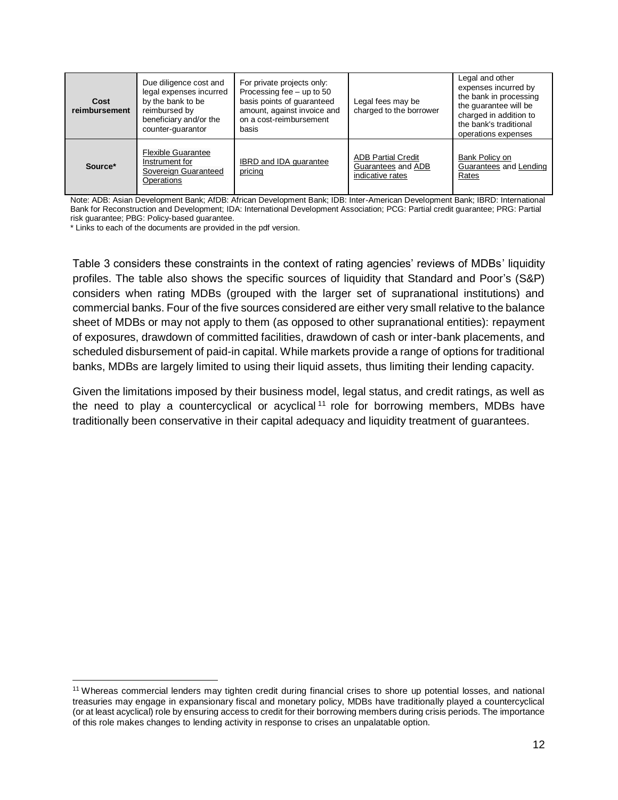| Cost<br>reimbursement | Due diligence cost and<br>legal expenses incurred<br>by the bank to be<br>reimbursed by<br>beneficiary and/or the<br>counter-guarantor | For private projects only:<br>Processing fee - up to 50<br>basis points of quaranteed<br>amount, against invoice and<br>on a cost-reimbursement<br>basis | Legal fees may be<br>charged to the borrower                        | Legal and other<br>expenses incurred by<br>the bank in processing<br>the quarantee will be<br>charged in addition to<br>the bank's traditional<br>operations expenses |
|-----------------------|----------------------------------------------------------------------------------------------------------------------------------------|----------------------------------------------------------------------------------------------------------------------------------------------------------|---------------------------------------------------------------------|-----------------------------------------------------------------------------------------------------------------------------------------------------------------------|
| Source*               | <b>Flexible Guarantee</b><br>Instrument for<br>Sovereign Guaranteed<br>Operations                                                      | <b>IBRD</b> and <b>IDA</b> quarantee<br>pricing                                                                                                          | <b>ADB Partial Credit</b><br>Guarantees and ADB<br>indicative rates | Bank Policy on<br>Guarantees and Lending<br>Rates                                                                                                                     |

Note: ADB: Asian Development Bank; AfDB: African Development Bank; IDB: Inter-American Development Bank; IBRD: International Bank for Reconstruction and Development; IDA: International Development Association; PCG: Partial credit guarantee; PRG: Partial risk guarantee; PBG: Policy-based guarantee.

\* Links to each of the documents are provided in the pdf version.

 $\overline{\phantom{0}}$ 

Table 3 considers these constraints in the context of rating agencies' reviews of MDBs' liquidity profiles. The table also shows the specific sources of liquidity that Standard and Poor's (S&P) considers when rating MDBs (grouped with the larger set of supranational institutions) and commercial banks. Four of the five sources considered are either very small relative to the balance sheet of MDBs or may not apply to them (as opposed to other supranational entities): repayment of exposures, drawdown of committed facilities, drawdown of cash or inter-bank placements, and scheduled disbursement of paid-in capital. While markets provide a range of options for traditional banks, MDBs are largely limited to using their liquid assets, thus limiting their lending capacity.

Given the limitations imposed by their business model, legal status, and credit ratings, as well as the need to play a countercyclical or acyclical  $11$  role for borrowing members, MDBs have traditionally been conservative in their capital adequacy and liquidity treatment of guarantees.

<sup>11</sup> Whereas commercial lenders may tighten credit during financial crises to shore up potential losses, and national treasuries may engage in expansionary fiscal and monetary policy, MDBs have traditionally played a countercyclical (or at least acyclical) role by ensuring access to credit for their borrowing members during crisis periods. The importance of this role makes changes to lending activity in response to crises an unpalatable option.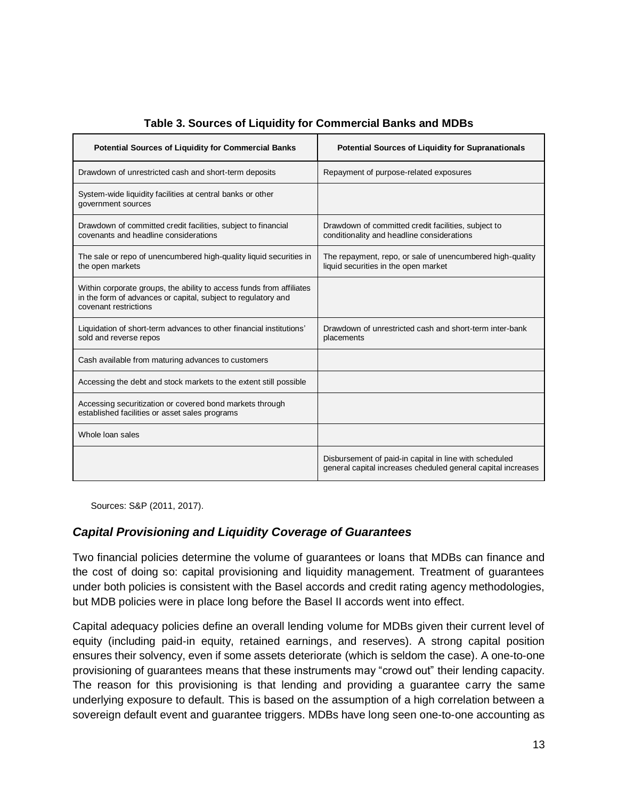| <b>Potential Sources of Liquidity for Commercial Banks</b>                                                                                                     | <b>Potential Sources of Liquidity for Supranationals</b>                                                               |
|----------------------------------------------------------------------------------------------------------------------------------------------------------------|------------------------------------------------------------------------------------------------------------------------|
| Drawdown of unrestricted cash and short-term deposits                                                                                                          | Repayment of purpose-related exposures                                                                                 |
| System-wide liquidity facilities at central banks or other<br>government sources                                                                               |                                                                                                                        |
| Drawdown of committed credit facilities, subject to financial<br>covenants and headline considerations                                                         | Drawdown of committed credit facilities, subject to<br>conditionality and headline considerations                      |
| The sale or repo of unencumbered high-quality liquid securities in<br>the open markets                                                                         | The repayment, repo, or sale of unencumbered high-quality<br>liquid securities in the open market                      |
| Within corporate groups, the ability to access funds from affiliates<br>in the form of advances or capital, subject to regulatory and<br>covenant restrictions |                                                                                                                        |
| Liquidation of short-term advances to other financial institutions'<br>sold and reverse repos                                                                  | Drawdown of unrestricted cash and short-term inter-bank<br>placements                                                  |
| Cash available from maturing advances to customers                                                                                                             |                                                                                                                        |
| Accessing the debt and stock markets to the extent still possible                                                                                              |                                                                                                                        |
| Accessing securitization or covered bond markets through<br>established facilities or asset sales programs                                                     |                                                                                                                        |
| Whole loan sales                                                                                                                                               |                                                                                                                        |
|                                                                                                                                                                | Disbursement of paid-in capital in line with scheduled<br>general capital increases cheduled general capital increases |

#### **Table 3. Sources of Liquidity for Commercial Banks and MDBs**

Sources: S&P (2011, 2017).

#### *Capital Provisioning and Liquidity Coverage of Guarantees*

Two financial policies determine the volume of guarantees or loans that MDBs can finance and the cost of doing so: capital provisioning and liquidity management. Treatment of guarantees under both policies is consistent with the Basel accords and credit rating agency methodologies, but MDB policies were in place long before the Basel II accords went into effect.

Capital adequacy policies define an overall lending volume for MDBs given their current level of equity (including paid-in equity, retained earnings, and reserves). A strong capital position ensures their solvency, even if some assets deteriorate (which is seldom the case). A one-to-one provisioning of guarantees means that these instruments may "crowd out" their lending capacity. The reason for this provisioning is that lending and providing a guarantee carry the same underlying exposure to default. This is based on the assumption of a high correlation between a sovereign default event and guarantee triggers. MDBs have long seen one-to-one accounting as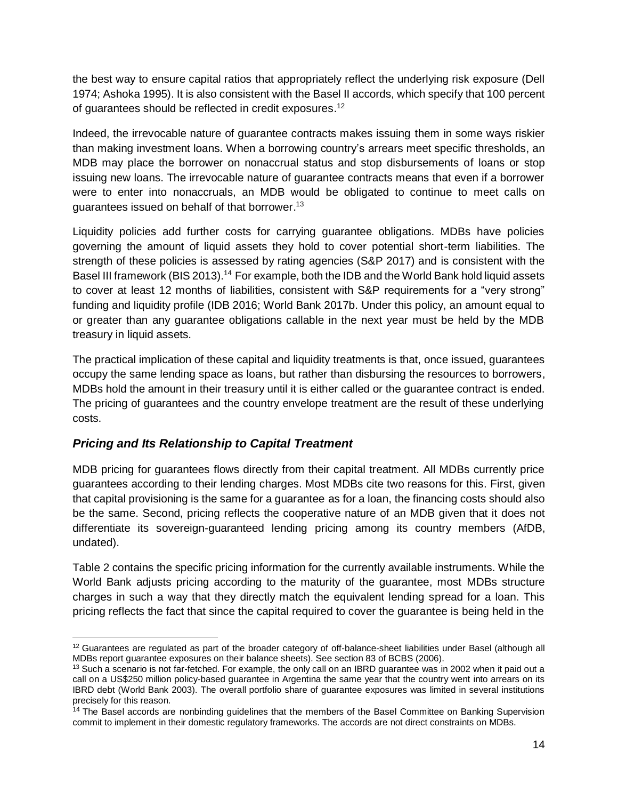the best way to ensure capital ratios that appropriately reflect the underlying risk exposure (Dell 1974; Ashoka 1995). It is also consistent with the Basel II accords, which specify that 100 percent of guarantees should be reflected in credit exposures.<sup>12</sup>

Indeed, the irrevocable nature of guarantee contracts makes issuing them in some ways riskier than making investment loans. When a borrowing country's arrears meet specific thresholds, an MDB may place the borrower on nonaccrual status and stop disbursements of loans or stop issuing new loans. The irrevocable nature of guarantee contracts means that even if a borrower were to enter into nonaccruals, an MDB would be obligated to continue to meet calls on guarantees issued on behalf of that borrower.<sup>13</sup>

Liquidity policies add further costs for carrying guarantee obligations. MDBs have policies governing the amount of liquid assets they hold to cover potential short-term liabilities. The strength of these policies is assessed by rating agencies (S&P 2017) and is consistent with the Basel III framework (BIS 2013).<sup>14</sup> For example, both the IDB and the World Bank hold liquid assets to cover at least 12 months of liabilities, consistent with S&P requirements for a "very strong" funding and liquidity profile (IDB 2016; World Bank 2017b. Under this policy, an amount equal to or greater than any guarantee obligations callable in the next year must be held by the MDB treasury in liquid assets.

The practical implication of these capital and liquidity treatments is that, once issued, guarantees occupy the same lending space as loans, but rather than disbursing the resources to borrowers, MDBs hold the amount in their treasury until it is either called or the guarantee contract is ended. The pricing of guarantees and the country envelope treatment are the result of these underlying costs.

### *Pricing and Its Relationship to Capital Treatment*

 $\overline{a}$ 

MDB pricing for guarantees flows directly from their capital treatment. All MDBs currently price guarantees according to their lending charges. Most MDBs cite two reasons for this. First, given that capital provisioning is the same for a guarantee as for a loan, the financing costs should also be the same. Second, pricing reflects the cooperative nature of an MDB given that it does not differentiate its sovereign-guaranteed lending pricing among its country members (AfDB, undated).

Table 2 contains the specific pricing information for the currently available instruments. While the World Bank adjusts pricing according to the maturity of the guarantee, most MDBs structure charges in such a way that they directly match the equivalent lending spread for a loan. This pricing reflects the fact that since the capital required to cover the guarantee is being held in the

<sup>&</sup>lt;sup>12</sup> Guarantees are regulated as part of the broader category of off-balance-sheet liabilities under Basel (although all MDBs report guarantee exposures on their balance sheets). See section 83 of BCBS (2006).

 $13$  Such a scenario is not far-fetched. For example, the only call on an IBRD quarantee was in 2002 when it paid out a call on a US\$250 million policy-based guarantee in Argentina the same year that the country went into arrears on its IBRD debt (World Bank 2003). The overall portfolio share of guarantee exposures was limited in several institutions precisely for this reason.

<sup>&</sup>lt;sup>14</sup> The Basel accords are nonbinding guidelines that the members of the Basel Committee on Banking Supervision commit to implement in their domestic regulatory frameworks. The accords are not direct constraints on MDBs.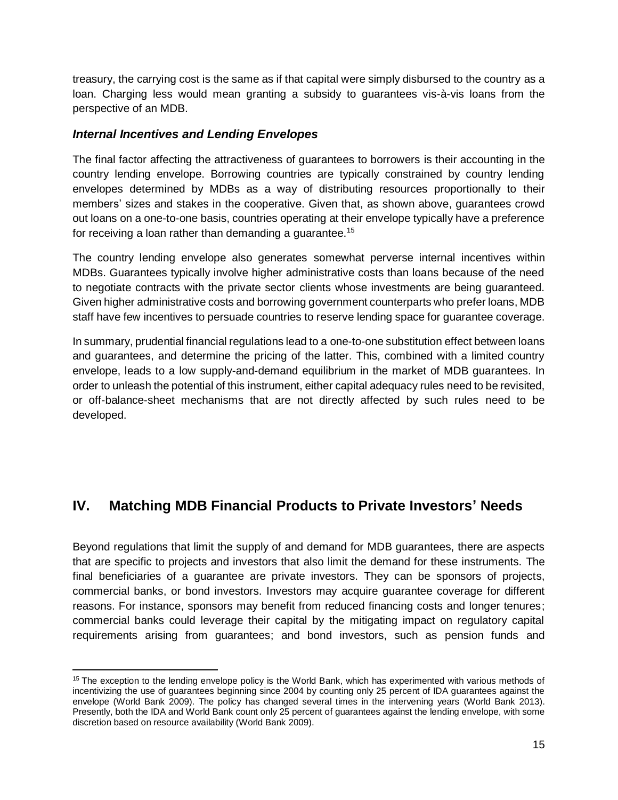treasury, the carrying cost is the same as if that capital were simply disbursed to the country as a loan. Charging less would mean granting a subsidy to guarantees vis-à-vis loans from the perspective of an MDB.

#### *Internal Incentives and Lending Envelopes*

 $\overline{a}$ 

The final factor affecting the attractiveness of guarantees to borrowers is their accounting in the country lending envelope. Borrowing countries are typically constrained by country lending envelopes determined by MDBs as a way of distributing resources proportionally to their members' sizes and stakes in the cooperative. Given that, as shown above, guarantees crowd out loans on a one-to-one basis, countries operating at their envelope typically have a preference for receiving a loan rather than demanding a guarantee.<sup>15</sup>

The country lending envelope also generates somewhat perverse internal incentives within MDBs. Guarantees typically involve higher administrative costs than loans because of the need to negotiate contracts with the private sector clients whose investments are being guaranteed. Given higher administrative costs and borrowing government counterparts who prefer loans, MDB staff have few incentives to persuade countries to reserve lending space for guarantee coverage.

In summary, prudential financial regulations lead to a one-to-one substitution effect between loans and guarantees, and determine the pricing of the latter. This, combined with a limited country envelope, leads to a low supply-and-demand equilibrium in the market of MDB guarantees. In order to unleash the potential of this instrument, either capital adequacy rules need to be revisited, or off-balance-sheet mechanisms that are not directly affected by such rules need to be developed.

## **IV. Matching MDB Financial Products to Private Investors' Needs**

Beyond regulations that limit the supply of and demand for MDB guarantees, there are aspects that are specific to projects and investors that also limit the demand for these instruments. The final beneficiaries of a guarantee are private investors. They can be sponsors of projects, commercial banks, or bond investors. Investors may acquire guarantee coverage for different reasons. For instance, sponsors may benefit from reduced financing costs and longer tenures; commercial banks could leverage their capital by the mitigating impact on regulatory capital requirements arising from guarantees; and bond investors, such as pension funds and

<sup>&</sup>lt;sup>15</sup> The exception to the lending envelope policy is the World Bank, which has experimented with various methods of incentivizing the use of guarantees beginning since 2004 by counting only 25 percent of IDA guarantees against the envelope (World Bank 2009). The policy has changed several times in the intervening years (World Bank 2013). Presently, both the IDA and World Bank count only 25 percent of guarantees against the lending envelope, with some discretion based on resource availability (World Bank 2009).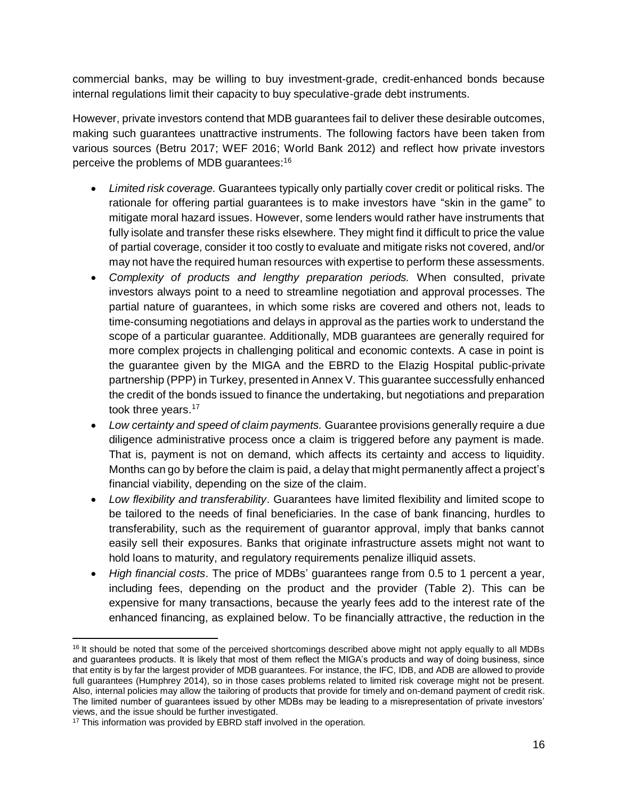commercial banks, may be willing to buy investment-grade, credit-enhanced bonds because internal regulations limit their capacity to buy speculative-grade debt instruments.

However, private investors contend that MDB guarantees fail to deliver these desirable outcomes, making such guarantees unattractive instruments. The following factors have been taken from various sources (Betru 2017; WEF 2016; World Bank 2012) and reflect how private investors perceive the problems of MDB guarantees:<sup>16</sup>

- *Limited risk coverage.* Guarantees typically only partially cover credit or political risks. The rationale for offering partial guarantees is to make investors have "skin in the game" to mitigate moral hazard issues. However, some lenders would rather have instruments that fully isolate and transfer these risks elsewhere. They might find it difficult to price the value of partial coverage, consider it too costly to evaluate and mitigate risks not covered, and/or may not have the required human resources with expertise to perform these assessments.
- *Complexity of products and lengthy preparation periods.* When consulted, private investors always point to a need to streamline negotiation and approval processes. The partial nature of guarantees, in which some risks are covered and others not, leads to time-consuming negotiations and delays in approval as the parties work to understand the scope of a particular guarantee. Additionally, MDB guarantees are generally required for more complex projects in challenging political and economic contexts. A case in point is the guarantee given by the MIGA and the EBRD to the Elazig Hospital public-private partnership (PPP) in Turkey, presented in Annex V. This guarantee successfully enhanced the credit of the bonds issued to finance the undertaking, but negotiations and preparation took three years.<sup>17</sup>
- *Low certainty and speed of claim payments.* Guarantee provisions generally require a due diligence administrative process once a claim is triggered before any payment is made. That is, payment is not on demand, which affects its certainty and access to liquidity. Months can go by before the claim is paid, a delay that might permanently affect a project's financial viability, depending on the size of the claim.
- *Low flexibility and transferability*. Guarantees have limited flexibility and limited scope to be tailored to the needs of final beneficiaries. In the case of bank financing, hurdles to transferability, such as the requirement of guarantor approval, imply that banks cannot easily sell their exposures. Banks that originate infrastructure assets might not want to hold loans to maturity, and regulatory requirements penalize illiquid assets.
- *High financial costs*. The price of MDBs' guarantees range from 0.5 to 1 percent a year, including fees, depending on the product and the provider (Table 2). This can be expensive for many transactions, because the yearly fees add to the interest rate of the enhanced financing, as explained below. To be financially attractive, the reduction in the

 $\overline{\phantom{0}}$ 

 $16$  It should be noted that some of the perceived shortcomings described above might not apply equally to all MDBs and guarantees products. It is likely that most of them reflect the MIGA's products and way of doing business, since that entity is by far the largest provider of MDB guarantees. For instance, the IFC, IDB, and ADB are allowed to provide full guarantees (Humphrey 2014), so in those cases problems related to limited risk coverage might not be present. Also, internal policies may allow the tailoring of products that provide for timely and on-demand payment of credit risk. The limited number of guarantees issued by other MDBs may be leading to a misrepresentation of private investors' views, and the issue should be further investigated.

<sup>&</sup>lt;sup>17</sup> This information was provided by EBRD staff involved in the operation.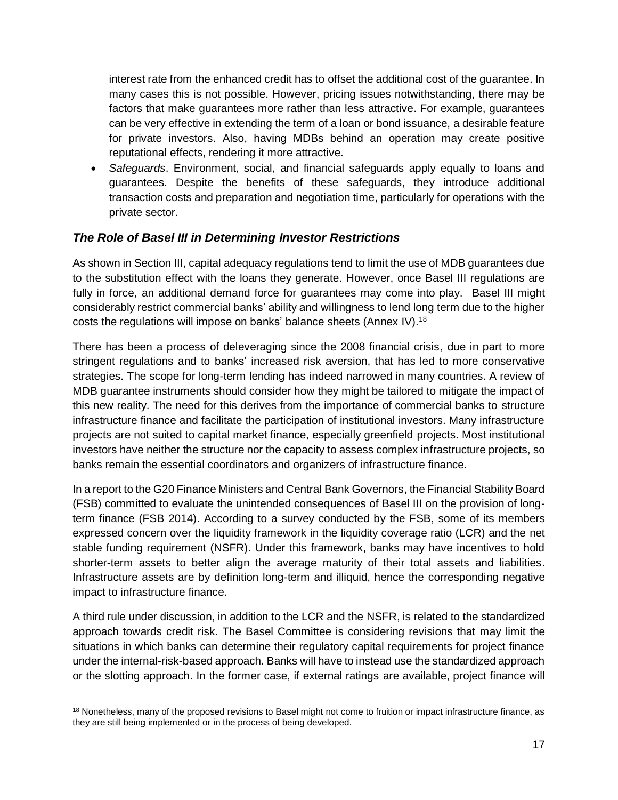interest rate from the enhanced credit has to offset the additional cost of the guarantee. In many cases this is not possible. However, pricing issues notwithstanding, there may be factors that make guarantees more rather than less attractive. For example, guarantees can be very effective in extending the term of a loan or bond issuance, a desirable feature for private investors. Also, having MDBs behind an operation may create positive reputational effects, rendering it more attractive.

• *Safeguards*. Environment, social, and financial safeguards apply equally to loans and guarantees. Despite the benefits of these safeguards, they introduce additional transaction costs and preparation and negotiation time, particularly for operations with the private sector.

#### *The Role of Basel III in Determining Investor Restrictions*

As shown in Section III, capital adequacy regulations tend to limit the use of MDB guarantees due to the substitution effect with the loans they generate. However, once Basel III regulations are fully in force, an additional demand force for guarantees may come into play. Basel III might considerably restrict commercial banks' ability and willingness to lend long term due to the higher costs the regulations will impose on banks' balance sheets (Annex IV).<sup>18</sup>

There has been a process of deleveraging since the 2008 financial crisis, due in part to more stringent regulations and to banks' increased risk aversion, that has led to more conservative strategies. The scope for long-term lending has indeed narrowed in many countries. A review of MDB guarantee instruments should consider how they might be tailored to mitigate the impact of this new reality. The need for this derives from the importance of commercial banks to structure infrastructure finance and facilitate the participation of institutional investors. Many infrastructure projects are not suited to capital market finance, especially greenfield projects. Most institutional investors have neither the structure nor the capacity to assess complex infrastructure projects, so banks remain the essential coordinators and organizers of infrastructure finance.

In a report to the G20 Finance Ministers and Central Bank Governors, the Financial Stability Board (FSB) committed to evaluate the unintended consequences of Basel III on the provision of longterm finance (FSB 2014). According to a survey conducted by the FSB, some of its members expressed concern over the liquidity framework in the liquidity coverage ratio (LCR) and the net stable funding requirement (NSFR). Under this framework, banks may have incentives to hold shorter-term assets to better align the average maturity of their total assets and liabilities. Infrastructure assets are by definition long-term and illiquid, hence the corresponding negative impact to infrastructure finance.

A third rule under discussion, in addition to the LCR and the NSFR, is related to the standardized approach towards credit risk. The Basel Committee is considering revisions that may limit the situations in which banks can determine their regulatory capital requirements for project finance under the internal-risk-based approach. Banks will have to instead use the standardized approach or the slotting approach. In the former case, if external ratings are available, project finance will

 $\overline{a}$ 

<sup>&</sup>lt;sup>18</sup> Nonetheless, many of the proposed revisions to Basel might not come to fruition or impact infrastructure finance, as they are still being implemented or in the process of being developed.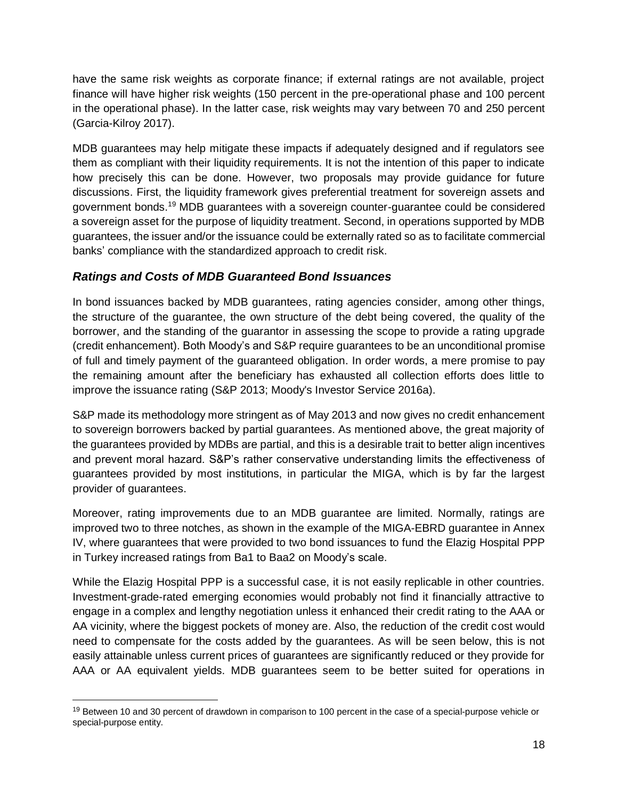have the same risk weights as corporate finance; if external ratings are not available, project finance will have higher risk weights (150 percent in the pre-operational phase and 100 percent in the operational phase). In the latter case, risk weights may vary between 70 and 250 percent (Garcia-Kilroy 2017).

MDB guarantees may help mitigate these impacts if adequately designed and if regulators see them as compliant with their liquidity requirements. It is not the intention of this paper to indicate how precisely this can be done. However, two proposals may provide guidance for future discussions. First, the liquidity framework gives preferential treatment for sovereign assets and government bonds. <sup>19</sup> MDB guarantees with a sovereign counter-guarantee could be considered a sovereign asset for the purpose of liquidity treatment. Second, in operations supported by MDB guarantees, the issuer and/or the issuance could be externally rated so as to facilitate commercial banks' compliance with the standardized approach to credit risk.

### *Ratings and Costs of MDB Guaranteed Bond Issuances*

In bond issuances backed by MDB guarantees, rating agencies consider, among other things, the structure of the guarantee, the own structure of the debt being covered, the quality of the borrower, and the standing of the guarantor in assessing the scope to provide a rating upgrade (credit enhancement). Both Moody's and S&P require guarantees to be an unconditional promise of full and timely payment of the guaranteed obligation. In order words, a mere promise to pay the remaining amount after the beneficiary has exhausted all collection efforts does little to improve the issuance rating (S&P 2013; Moody's Investor Service 2016a).

S&P made its methodology more stringent as of May 2013 and now gives no credit enhancement to sovereign borrowers backed by partial guarantees. As mentioned above, the great majority of the guarantees provided by MDBs are partial, and this is a desirable trait to better align incentives and prevent moral hazard. S&P's rather conservative understanding limits the effectiveness of guarantees provided by most institutions, in particular the MIGA, which is by far the largest provider of guarantees.

Moreover, rating improvements due to an MDB guarantee are limited. Normally, ratings are improved two to three notches, as shown in the example of the MIGA-EBRD guarantee in Annex IV, where guarantees that were provided to two bond issuances to fund the Elazig Hospital PPP in Turkey increased ratings from Ba1 to Baa2 on Moody's scale.

While the Elazig Hospital PPP is a successful case, it is not easily replicable in other countries. Investment-grade-rated emerging economies would probably not find it financially attractive to engage in a complex and lengthy negotiation unless it enhanced their credit rating to the AAA or AA vicinity, where the biggest pockets of money are. Also, the reduction of the credit cost would need to compensate for the costs added by the guarantees. As will be seen below, this is not easily attainable unless current prices of guarantees are significantly reduced or they provide for AAA or AA equivalent yields. MDB guarantees seem to be better suited for operations in

 $\overline{a}$ 

<sup>&</sup>lt;sup>19</sup> Between 10 and 30 percent of drawdown in comparison to 100 percent in the case of a special-purpose vehicle or special-purpose entity.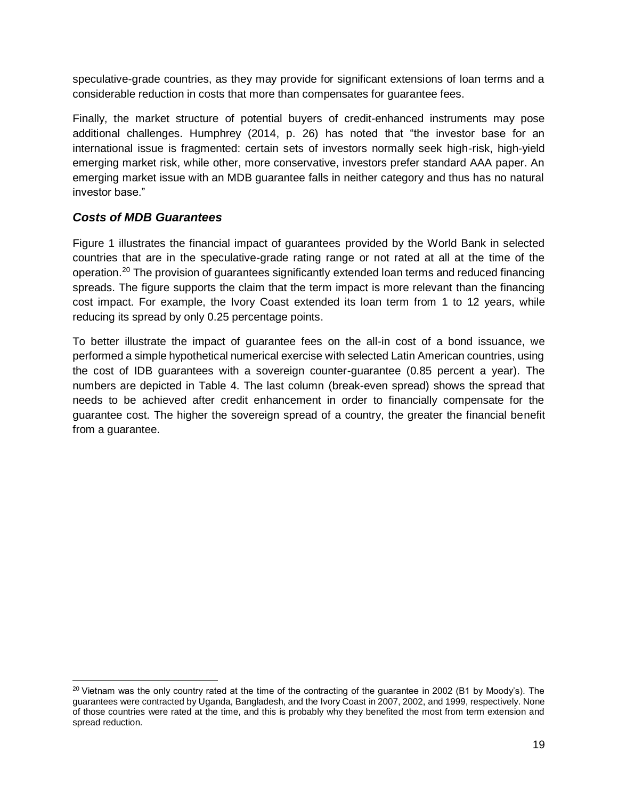speculative-grade countries, as they may provide for significant extensions of loan terms and a considerable reduction in costs that more than compensates for guarantee fees.

Finally, the market structure of potential buyers of credit-enhanced instruments may pose additional challenges. Humphrey (2014, p. 26) has noted that "the investor base for an international issue is fragmented: certain sets of investors normally seek high-risk, high-yield emerging market risk, while other, more conservative, investors prefer standard AAA paper. An emerging market issue with an MDB guarantee falls in neither category and thus has no natural investor base."

#### *Costs of MDB Guarantees*

 $\overline{\phantom{0}}$ 

Figure 1 illustrates the financial impact of guarantees provided by the World Bank in selected countries that are in the speculative-grade rating range or not rated at all at the time of the operation.<sup>20</sup> The provision of guarantees significantly extended loan terms and reduced financing spreads. The figure supports the claim that the term impact is more relevant than the financing cost impact. For example, the Ivory Coast extended its loan term from 1 to 12 years, while reducing its spread by only 0.25 percentage points.

To better illustrate the impact of guarantee fees on the all-in cost of a bond issuance, we performed a simple hypothetical numerical exercise with selected Latin American countries, using the cost of IDB guarantees with a sovereign counter-guarantee (0.85 percent a year). The numbers are depicted in Table 4. The last column (break-even spread) shows the spread that needs to be achieved after credit enhancement in order to financially compensate for the guarantee cost. The higher the sovereign spread of a country, the greater the financial benefit from a guarantee.

 $^{20}$  Vietnam was the only country rated at the time of the contracting of the guarantee in 2002 (B1 by Moody's). The guarantees were contracted by Uganda, Bangladesh, and the Ivory Coast in 2007, 2002, and 1999, respectively. None of those countries were rated at the time, and this is probably why they benefited the most from term extension and spread reduction.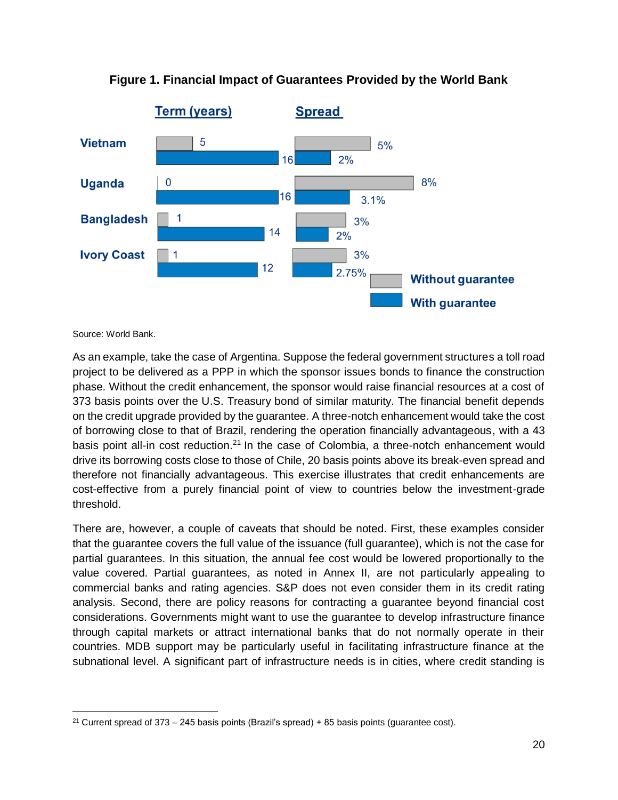

#### **Figure 1. Financial Impact of Guarantees Provided by the World Bank**

Source: World Bank.

 $\overline{a}$ 

As an example, take the case of Argentina. Suppose the federal government structures a toll road project to be delivered as a PPP in which the sponsor issues bonds to finance the construction phase. Without the credit enhancement, the sponsor would raise financial resources at a cost of 373 basis points over the U.S. Treasury bond of similar maturity. The financial benefit depends on the credit upgrade provided by the guarantee. A three-notch enhancement would take the cost of borrowing close to that of Brazil, rendering the operation financially advantageous, with a 43 basis point all-in cost reduction.<sup>21</sup> In the case of Colombia, a three-notch enhancement would drive its borrowing costs close to those of Chile, 20 basis points above its break-even spread and therefore not financially advantageous. This exercise illustrates that credit enhancements are cost-effective from a purely financial point of view to countries below the investment-grade threshold.

There are, however, a couple of caveats that should be noted. First, these examples consider that the guarantee covers the full value of the issuance (full guarantee), which is not the case for partial guarantees. In this situation, the annual fee cost would be lowered proportionally to the value covered. Partial guarantees, as noted in Annex II, are not particularly appealing to commercial banks and rating agencies. S&P does not even consider them in its credit rating analysis. Second, there are policy reasons for contracting a guarantee beyond financial cost considerations. Governments might want to use the guarantee to develop infrastructure finance through capital markets or attract international banks that do not normally operate in their countries. MDB support may be particularly useful in facilitating infrastructure finance at the subnational level. A significant part of infrastructure needs is in cities, where credit standing is

<sup>&</sup>lt;sup>21</sup> Current spread of  $373 - 245$  basis points (Brazil's spread) + 85 basis points (quarantee cost).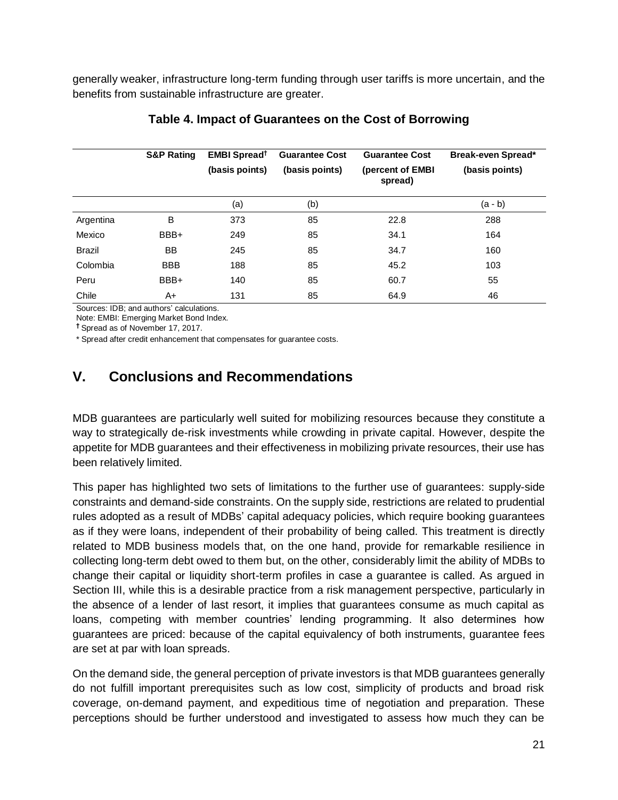generally weaker, infrastructure long-term funding through user tariffs is more uncertain, and the benefits from sustainable infrastructure are greater.

|               | <b>S&amp;P Rating</b> | <b>EMBI Spread</b> <sup>†</sup><br>(basis points) | <b>Guarantee Cost</b><br>(basis points) | <b>Guarantee Cost</b><br>(percent of EMBI<br>spread) | Break-even Spread*<br>(basis points) |
|---------------|-----------------------|---------------------------------------------------|-----------------------------------------|------------------------------------------------------|--------------------------------------|
|               |                       | (a)                                               | (b)                                     |                                                      | (a - b)                              |
| Argentina     | B                     | 373                                               | 85                                      | 22.8                                                 | 288                                  |
| Mexico        | BBB+                  | 249                                               | 85                                      | 34.1                                                 | 164                                  |
| <b>Brazil</b> | BB                    | 245                                               | 85                                      | 34.7                                                 | 160                                  |
| Colombia      | <b>BBB</b>            | 188                                               | 85                                      | 45.2                                                 | 103                                  |
| Peru          | BBB+                  | 140                                               | 85                                      | 60.7                                                 | 55                                   |
| Chile         | A+                    | 131                                               | 85                                      | 64.9                                                 | 46                                   |

#### **Table 4. Impact of Guarantees on the Cost of Borrowing**

Sources: IDB; and authors' calculations. Note: EMBI: Emerging Market Bond Index.

**†** Spread as of November 17, 2017.

\* Spread after credit enhancement that compensates for guarantee costs.

## **V. Conclusions and Recommendations**

MDB guarantees are particularly well suited for mobilizing resources because they constitute a way to strategically de-risk investments while crowding in private capital. However, despite the appetite for MDB guarantees and their effectiveness in mobilizing private resources, their use has been relatively limited.

This paper has highlighted two sets of limitations to the further use of guarantees: supply-side constraints and demand-side constraints. On the supply side, restrictions are related to prudential rules adopted as a result of MDBs' capital adequacy policies, which require booking guarantees as if they were loans, independent of their probability of being called. This treatment is directly related to MDB business models that, on the one hand, provide for remarkable resilience in collecting long-term debt owed to them but, on the other, considerably limit the ability of MDBs to change their capital or liquidity short-term profiles in case a guarantee is called. As argued in Section III, while this is a desirable practice from a risk management perspective, particularly in the absence of a lender of last resort, it implies that guarantees consume as much capital as loans, competing with member countries' lending programming. It also determines how guarantees are priced: because of the capital equivalency of both instruments, guarantee fees are set at par with loan spreads.

On the demand side, the general perception of private investors is that MDB guarantees generally do not fulfill important prerequisites such as low cost, simplicity of products and broad risk coverage, on-demand payment, and expeditious time of negotiation and preparation. These perceptions should be further understood and investigated to assess how much they can be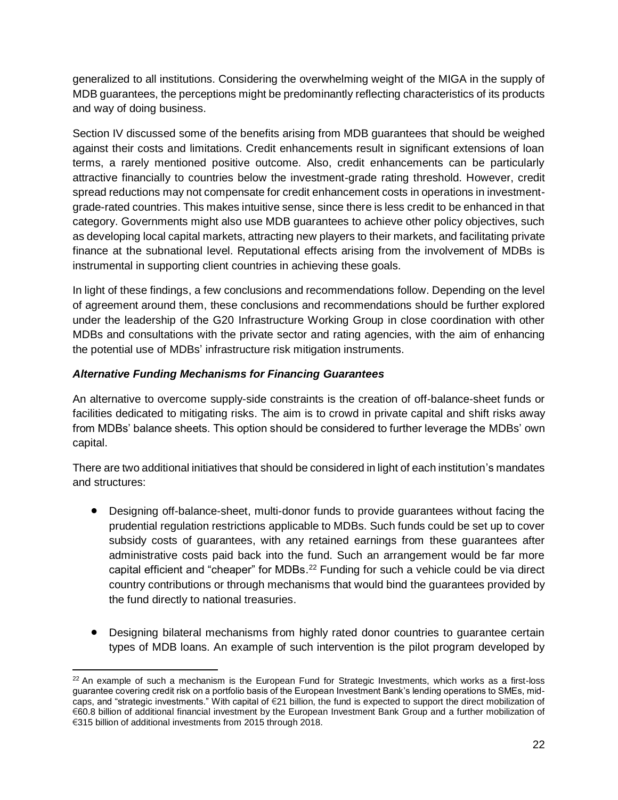generalized to all institutions. Considering the overwhelming weight of the MIGA in the supply of MDB guarantees, the perceptions might be predominantly reflecting characteristics of its products and way of doing business.

Section IV discussed some of the benefits arising from MDB guarantees that should be weighed against their costs and limitations. Credit enhancements result in significant extensions of loan terms, a rarely mentioned positive outcome. Also, credit enhancements can be particularly attractive financially to countries below the investment-grade rating threshold. However, credit spread reductions may not compensate for credit enhancement costs in operations in investmentgrade-rated countries. This makes intuitive sense, since there is less credit to be enhanced in that category. Governments might also use MDB guarantees to achieve other policy objectives, such as developing local capital markets, attracting new players to their markets, and facilitating private finance at the subnational level. Reputational effects arising from the involvement of MDBs is instrumental in supporting client countries in achieving these goals.

In light of these findings, a few conclusions and recommendations follow. Depending on the level of agreement around them, these conclusions and recommendations should be further explored under the leadership of the G20 Infrastructure Working Group in close coordination with other MDBs and consultations with the private sector and rating agencies, with the aim of enhancing the potential use of MDBs' infrastructure risk mitigation instruments.

#### *Alternative Funding Mechanisms for Financing Guarantees*

 $\overline{a}$ 

An alternative to overcome supply-side constraints is the creation of off-balance-sheet funds or facilities dedicated to mitigating risks. The aim is to crowd in private capital and shift risks away from MDBs' balance sheets. This option should be considered to further leverage the MDBs' own capital.

There are two additional initiatives that should be considered in light of each institution's mandates and structures:

- Designing off-balance-sheet, multi-donor funds to provide guarantees without facing the prudential regulation restrictions applicable to MDBs. Such funds could be set up to cover subsidy costs of guarantees, with any retained earnings from these guarantees after administrative costs paid back into the fund. Such an arrangement would be far more capital efficient and "cheaper" for MDBs.<sup>22</sup> Funding for such a vehicle could be via direct country contributions or through mechanisms that would bind the guarantees provided by the fund directly to national treasuries.
- Designing bilateral mechanisms from highly rated donor countries to guarantee certain types of MDB loans. An example of such intervention is the pilot program developed by

 $22$  An example of such a mechanism is the European Fund for Strategic Investments, which works as a first-loss guarantee covering credit risk on a portfolio basis of the European Investment Bank's lending operations to SMEs, midcaps, and "strategic investments." With capital of €21 billion, the fund is expected to support the direct mobilization of €60.8 billion of additional financial investment by the European Investment Bank Group and a further mobilization of €315 billion of additional investments from 2015 through 2018.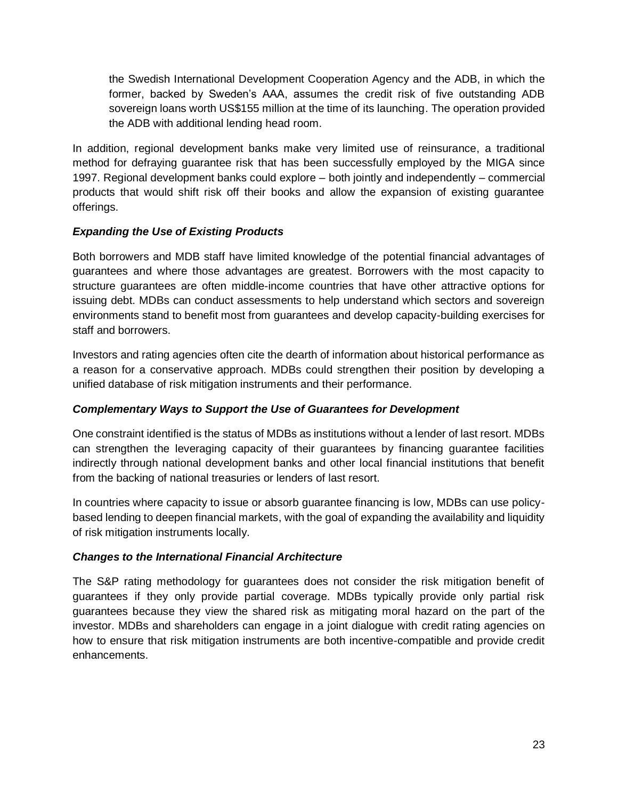the Swedish International Development Cooperation Agency and the ADB, in which the former, backed by Sweden's AAA, assumes the credit risk of five outstanding ADB sovereign loans worth US\$155 million at the time of its launching. The operation provided the ADB with additional lending head room.

In addition, regional development banks make very limited use of reinsurance, a traditional method for defraying guarantee risk that has been successfully employed by the MIGA since 1997. Regional development banks could explore – both jointly and independently – commercial products that would shift risk off their books and allow the expansion of existing guarantee offerings.

#### *Expanding the Use of Existing Products*

Both borrowers and MDB staff have limited knowledge of the potential financial advantages of guarantees and where those advantages are greatest. Borrowers with the most capacity to structure guarantees are often middle-income countries that have other attractive options for issuing debt. MDBs can conduct assessments to help understand which sectors and sovereign environments stand to benefit most from guarantees and develop capacity-building exercises for staff and borrowers.

Investors and rating agencies often cite the dearth of information about historical performance as a reason for a conservative approach. MDBs could strengthen their position by developing a unified database of risk mitigation instruments and their performance.

#### *Complementary Ways to Support the Use of Guarantees for Development*

One constraint identified is the status of MDBs as institutions without a lender of last resort. MDBs can strengthen the leveraging capacity of their guarantees by financing guarantee facilities indirectly through national development banks and other local financial institutions that benefit from the backing of national treasuries or lenders of last resort.

In countries where capacity to issue or absorb guarantee financing is low, MDBs can use policybased lending to deepen financial markets, with the goal of expanding the availability and liquidity of risk mitigation instruments locally.

#### *Changes to the International Financial Architecture*

The S&P rating methodology for guarantees does not consider the risk mitigation benefit of guarantees if they only provide partial coverage. MDBs typically provide only partial risk guarantees because they view the shared risk as mitigating moral hazard on the part of the investor. MDBs and shareholders can engage in a joint dialogue with credit rating agencies on how to ensure that risk mitigation instruments are both incentive-compatible and provide credit enhancements.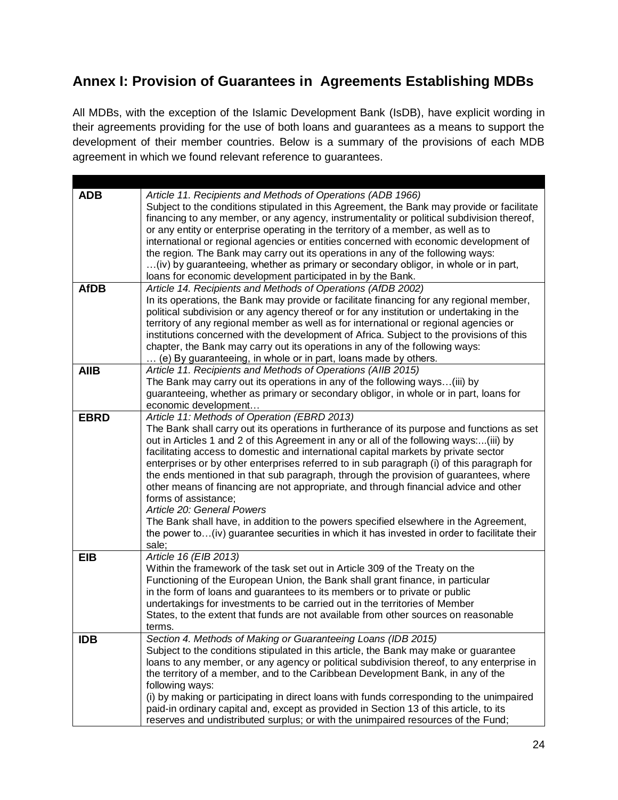## **Annex I: Provision of Guarantees in Agreements Establishing MDBs**

All MDBs, with the exception of the Islamic Development Bank (IsDB), have explicit wording in their agreements providing for the use of both loans and guarantees as a means to support the development of their member countries. Below is a summary of the provisions of each MDB agreement in which we found relevant reference to guarantees.

| <b>ADB</b>  | Article 11. Recipients and Methods of Operations (ADB 1966)                                                                                                                             |
|-------------|-----------------------------------------------------------------------------------------------------------------------------------------------------------------------------------------|
|             | Subject to the conditions stipulated in this Agreement, the Bank may provide or facilitate<br>financing to any member, or any agency, instrumentality or political subdivision thereof, |
|             | or any entity or enterprise operating in the territory of a member, as well as to                                                                                                       |
|             | international or regional agencies or entities concerned with economic development of                                                                                                   |
|             | the region. The Bank may carry out its operations in any of the following ways:<br>(iv) by guaranteeing, whether as primary or secondary obligor, in whole or in part,                  |
|             | loans for economic development participated in by the Bank.                                                                                                                             |
| <b>AfDB</b> | Article 14. Recipients and Methods of Operations (AfDB 2002)                                                                                                                            |
|             | In its operations, the Bank may provide or facilitate financing for any regional member,                                                                                                |
|             | political subdivision or any agency thereof or for any institution or undertaking in the                                                                                                |
|             | territory of any regional member as well as for international or regional agencies or                                                                                                   |
|             | institutions concerned with the development of Africa. Subject to the provisions of this                                                                                                |
|             | chapter, the Bank may carry out its operations in any of the following ways:<br>(e) By guaranteeing, in whole or in part, loans made by others.                                         |
| <b>AIIB</b> | Article 11. Recipients and Methods of Operations (AIIB 2015)                                                                                                                            |
|             | The Bank may carry out its operations in any of the following ways(iii) by                                                                                                              |
|             | guaranteeing, whether as primary or secondary obligor, in whole or in part, loans for                                                                                                   |
|             | economic development                                                                                                                                                                    |
| <b>EBRD</b> | Article 11: Methods of Operation (EBRD 2013)                                                                                                                                            |
|             | The Bank shall carry out its operations in furtherance of its purpose and functions as set                                                                                              |
|             | out in Articles 1 and 2 of this Agreement in any or all of the following ways:(iii) by<br>facilitating access to domestic and international capital markets by private sector           |
|             | enterprises or by other enterprises referred to in sub paragraph (i) of this paragraph for                                                                                              |
|             | the ends mentioned in that sub paragraph, through the provision of guarantees, where                                                                                                    |
|             | other means of financing are not appropriate, and through financial advice and other                                                                                                    |
|             | forms of assistance;                                                                                                                                                                    |
|             | Article 20: General Powers                                                                                                                                                              |
|             | The Bank shall have, in addition to the powers specified elsewhere in the Agreement,<br>the power to(iv) guarantee securities in which it has invested in order to facilitate their     |
|             | sale;                                                                                                                                                                                   |
| <b>EIB</b>  | Article 16 (EIB 2013)                                                                                                                                                                   |
|             | Within the framework of the task set out in Article 309 of the Treaty on the                                                                                                            |
|             | Functioning of the European Union, the Bank shall grant finance, in particular                                                                                                          |
|             | in the form of loans and guarantees to its members or to private or public<br>undertakings for investments to be carried out in the territories of Member                               |
|             | States, to the extent that funds are not available from other sources on reasonable                                                                                                     |
|             | terms.                                                                                                                                                                                  |
| IDB         | Section 4. Methods of Making or Guaranteeing Loans (IDB 2015)                                                                                                                           |
|             | Subject to the conditions stipulated in this article, the Bank may make or guarantee                                                                                                    |
|             | loans to any member, or any agency or political subdivision thereof, to any enterprise in                                                                                               |
|             | the territory of a member, and to the Caribbean Development Bank, in any of the                                                                                                         |
|             | following ways:<br>(i) by making or participating in direct loans with funds corresponding to the unimpaired                                                                            |
|             | paid-in ordinary capital and, except as provided in Section 13 of this article, to its                                                                                                  |
|             | reserves and undistributed surplus; or with the unimpaired resources of the Fund;                                                                                                       |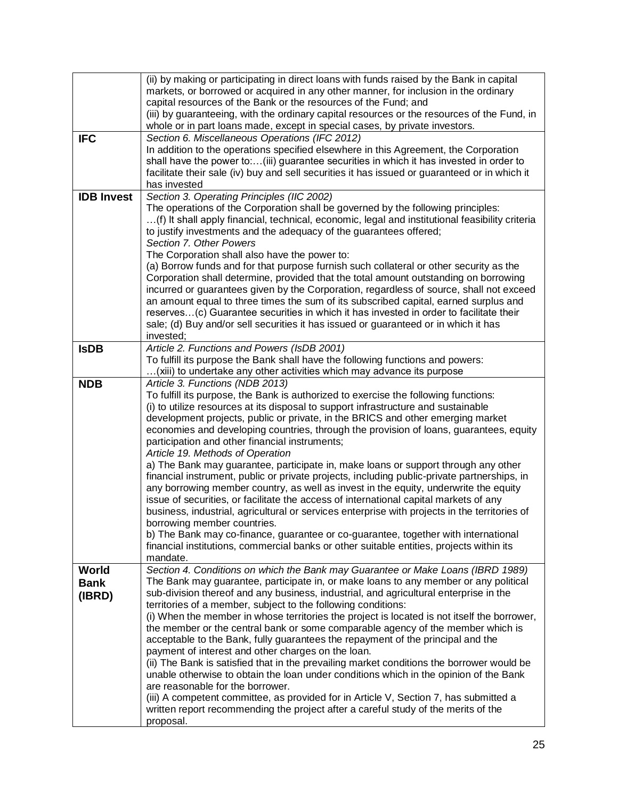|                                | (ii) by making or participating in direct loans with funds raised by the Bank in capital<br>markets, or borrowed or acquired in any other manner, for inclusion in the ordinary<br>capital resources of the Bank or the resources of the Fund; and<br>(iii) by guaranteeing, with the ordinary capital resources or the resources of the Fund, in<br>whole or in part loans made, except in special cases, by private investors.                                                                                                                                                                                                                                                                                                                                                                                                                                                                                                                                                                                                                                                                                                                                                    |
|--------------------------------|-------------------------------------------------------------------------------------------------------------------------------------------------------------------------------------------------------------------------------------------------------------------------------------------------------------------------------------------------------------------------------------------------------------------------------------------------------------------------------------------------------------------------------------------------------------------------------------------------------------------------------------------------------------------------------------------------------------------------------------------------------------------------------------------------------------------------------------------------------------------------------------------------------------------------------------------------------------------------------------------------------------------------------------------------------------------------------------------------------------------------------------------------------------------------------------|
| <b>IFC</b>                     | Section 6. Miscellaneous Operations (IFC 2012)<br>In addition to the operations specified elsewhere in this Agreement, the Corporation<br>shall have the power to:(iii) guarantee securities in which it has invested in order to<br>facilitate their sale (iv) buy and sell securities it has issued or guaranteed or in which it<br>has invested                                                                                                                                                                                                                                                                                                                                                                                                                                                                                                                                                                                                                                                                                                                                                                                                                                  |
| <b>IDB Invest</b>              | Section 3. Operating Principles (IIC 2002)<br>The operations of the Corporation shall be governed by the following principles:<br>(f) It shall apply financial, technical, economic, legal and institutional feasibility criteria<br>to justify investments and the adequacy of the guarantees offered;<br>Section 7. Other Powers<br>The Corporation shall also have the power to:<br>(a) Borrow funds and for that purpose furnish such collateral or other security as the<br>Corporation shall determine, provided that the total amount outstanding on borrowing<br>incurred or guarantees given by the Corporation, regardless of source, shall not exceed<br>an amount equal to three times the sum of its subscribed capital, earned surplus and<br>reserves(c) Guarantee securities in which it has invested in order to facilitate their<br>sale; (d) Buy and/or sell securities it has issued or guaranteed or in which it has<br>invested;                                                                                                                                                                                                                              |
| <b>IsDB</b>                    | Article 2. Functions and Powers (IsDB 2001)<br>To fulfill its purpose the Bank shall have the following functions and powers:<br>(xiii) to undertake any other activities which may advance its purpose                                                                                                                                                                                                                                                                                                                                                                                                                                                                                                                                                                                                                                                                                                                                                                                                                                                                                                                                                                             |
| <b>NDB</b>                     | Article 3. Functions (NDB 2013)<br>To fulfill its purpose, the Bank is authorized to exercise the following functions:<br>(i) to utilize resources at its disposal to support infrastructure and sustainable<br>development projects, public or private, in the BRICS and other emerging market<br>economies and developing countries, through the provision of loans, guarantees, equity<br>participation and other financial instruments;<br>Article 19. Methods of Operation<br>a) The Bank may guarantee, participate in, make loans or support through any other<br>financial instrument, public or private projects, including public-private partnerships, in<br>any borrowing member country, as well as invest in the equity, underwrite the equity<br>issue of securities, or facilitate the access of international capital markets of any<br>business, industrial, agricultural or services enterprise with projects in the territories of<br>borrowing member countries.<br>b) The Bank may co-finance, guarantee or co-guarantee, together with international<br>financial institutions, commercial banks or other suitable entities, projects within its<br>mandate. |
| World<br><b>Bank</b><br>(IBRD) | Section 4. Conditions on which the Bank may Guarantee or Make Loans (IBRD 1989)<br>The Bank may guarantee, participate in, or make loans to any member or any political<br>sub-division thereof and any business, industrial, and agricultural enterprise in the<br>territories of a member, subject to the following conditions:<br>(i) When the member in whose territories the project is located is not itself the borrower,<br>the member or the central bank or some comparable agency of the member which is<br>acceptable to the Bank, fully guarantees the repayment of the principal and the<br>payment of interest and other charges on the loan.<br>(ii) The Bank is satisfied that in the prevailing market conditions the borrower would be<br>unable otherwise to obtain the loan under conditions which in the opinion of the Bank<br>are reasonable for the borrower.<br>(iii) A competent committee, as provided for in Article V, Section 7, has submitted a<br>written report recommending the project after a careful study of the merits of the<br>proposal.                                                                                                  |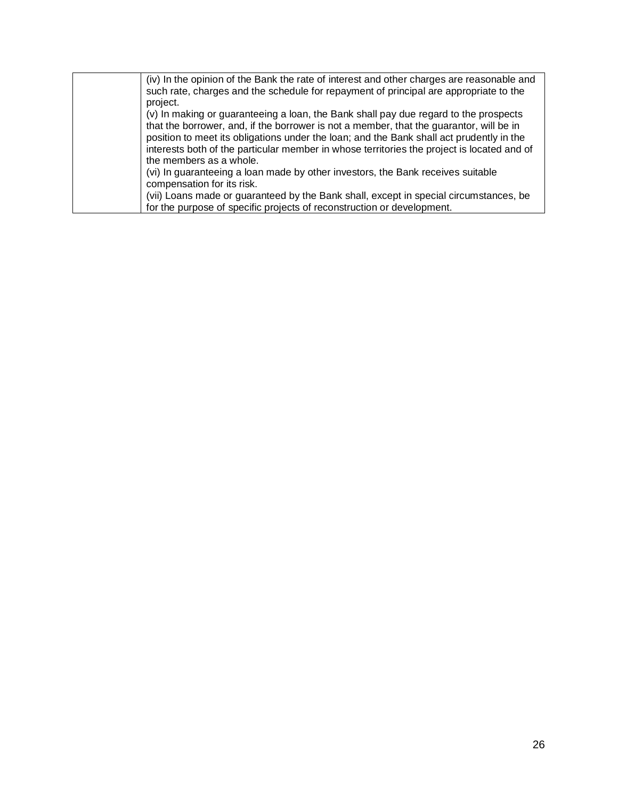| (iv) In the opinion of the Bank the rate of interest and other charges are reasonable and<br>such rate, charges and the schedule for repayment of principal are appropriate to the                                                                                                                                                                                        |
|---------------------------------------------------------------------------------------------------------------------------------------------------------------------------------------------------------------------------------------------------------------------------------------------------------------------------------------------------------------------------|
| project.                                                                                                                                                                                                                                                                                                                                                                  |
| (v) In making or guaranteeing a loan, the Bank shall pay due regard to the prospects<br>that the borrower, and, if the borrower is not a member, that the guarantor, will be in<br>position to meet its obligations under the loan; and the Bank shall act prudently in the<br>interests both of the particular member in whose territories the project is located and of |
| the members as a whole.                                                                                                                                                                                                                                                                                                                                                   |
| (vi) In guaranteeing a loan made by other investors, the Bank receives suitable<br>compensation for its risk.                                                                                                                                                                                                                                                             |
| (vii) Loans made or guaranteed by the Bank shall, except in special circumstances, be                                                                                                                                                                                                                                                                                     |
| for the purpose of specific projects of reconstruction or development.                                                                                                                                                                                                                                                                                                    |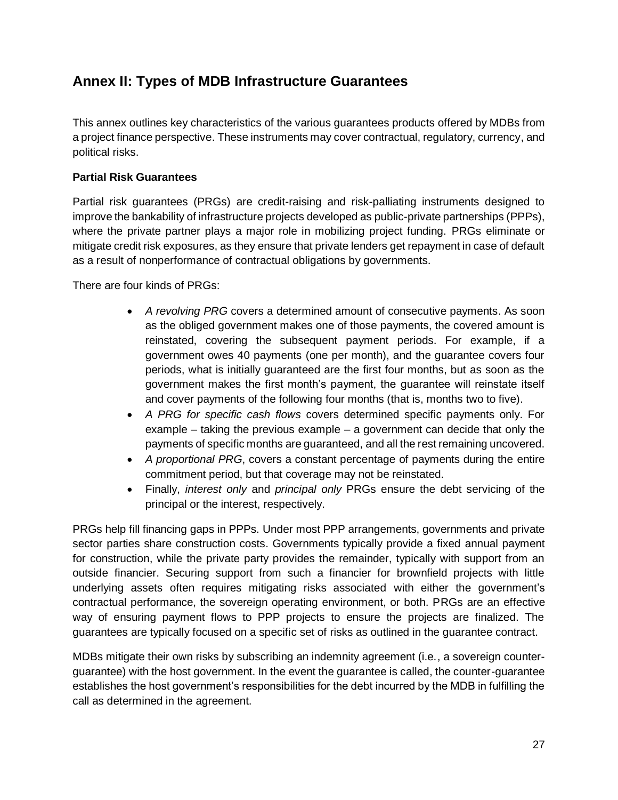## **Annex II: Types of MDB Infrastructure Guarantees**

This annex outlines key characteristics of the various guarantees products offered by MDBs from a project finance perspective. These instruments may cover contractual, regulatory, currency, and political risks.

#### **Partial Risk Guarantees**

Partial risk guarantees (PRGs) are credit-raising and risk-palliating instruments designed to improve the bankability of infrastructure projects developed as public-private partnerships (PPPs), where the private partner plays a major role in mobilizing project funding. PRGs eliminate or mitigate credit risk exposures, as they ensure that private lenders get repayment in case of default as a result of nonperformance of contractual obligations by governments.

There are four kinds of PRGs:

- *A revolving PRG* covers a determined amount of consecutive payments. As soon as the obliged government makes one of those payments, the covered amount is reinstated, covering the subsequent payment periods. For example, if a government owes 40 payments (one per month), and the guarantee covers four periods, what is initially guaranteed are the first four months, but as soon as the government makes the first month's payment, the guarantee will reinstate itself and cover payments of the following four months (that is, months two to five).
- *A PRG for specific cash flows* covers determined specific payments only. For example – taking the previous example – a government can decide that only the payments of specific months are guaranteed, and all the rest remaining uncovered.
- *A proportional PRG*, covers a constant percentage of payments during the entire commitment period, but that coverage may not be reinstated.
- Finally, *interest only* and *principal only* PRGs ensure the debt servicing of the principal or the interest, respectively.

PRGs help fill financing gaps in PPPs. Under most PPP arrangements, governments and private sector parties share construction costs. Governments typically provide a fixed annual payment for construction, while the private party provides the remainder, typically with support from an outside financier. Securing support from such a financier for brownfield projects with little underlying assets often requires mitigating risks associated with either the government's contractual performance, the sovereign operating environment, or both. PRGs are an effective way of ensuring payment flows to PPP projects to ensure the projects are finalized. The guarantees are typically focused on a specific set of risks as outlined in the guarantee contract.

MDBs mitigate their own risks by subscribing an indemnity agreement (i.e., a sovereign counterguarantee) with the host government. In the event the guarantee is called, the counter-guarantee establishes the host government's responsibilities for the debt incurred by the MDB in fulfilling the call as determined in the agreement.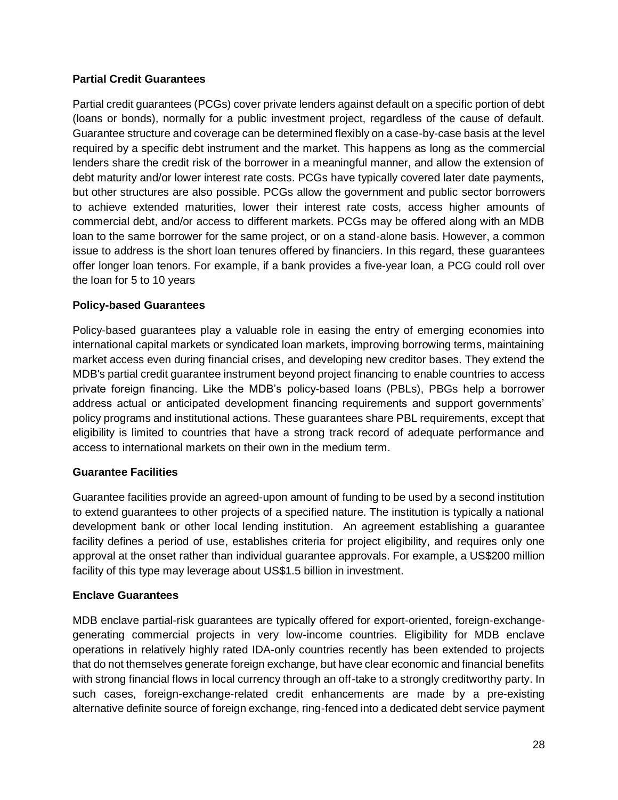#### **Partial Credit Guarantees**

Partial credit guarantees (PCGs) cover private lenders against default on a specific portion of debt (loans or bonds), normally for a public investment project, regardless of the cause of default. Guarantee structure and coverage can be determined flexibly on a case-by-case basis at the level required by a specific debt instrument and the market. This happens as long as the commercial lenders share the credit risk of the borrower in a meaningful manner, and allow the extension of debt maturity and/or lower interest rate costs. PCGs have typically covered later date payments, but other structures are also possible. PCGs allow the government and public sector borrowers to achieve extended maturities, lower their interest rate costs, access higher amounts of commercial debt, and/or access to different markets. PCGs may be offered along with an MDB loan to the same borrower for the same project, or on a stand-alone basis. However, a common issue to address is the short loan tenures offered by financiers. In this regard, these guarantees offer longer loan tenors. For example, if a bank provides a five-year loan, a PCG could roll over the loan for 5 to 10 years

#### **Policy-based Guarantees**

Policy-based guarantees play a valuable role in easing the entry of emerging economies into international capital markets or syndicated loan markets, improving borrowing terms, maintaining market access even during financial crises, and developing new creditor bases. They extend the MDB's partial credit guarantee instrument beyond project financing to enable countries to access private foreign financing. Like the MDB's policy-based loans (PBLs), PBGs help a borrower address actual or anticipated development financing requirements and support governments' policy programs and institutional actions. These guarantees share PBL requirements, except that eligibility is limited to countries that have a strong track record of adequate performance and access to international markets on their own in the medium term.

#### **Guarantee Facilities**

Guarantee facilities provide an agreed-upon amount of funding to be used by a second institution to extend guarantees to other projects of a specified nature. The institution is typically a national development bank or other local lending institution. An agreement establishing a guarantee facility defines a period of use, establishes criteria for project eligibility, and requires only one approval at the onset rather than individual guarantee approvals. For example, a US\$200 million facility of this type may leverage about US\$1.5 billion in investment.

#### **Enclave Guarantees**

MDB enclave partial-risk guarantees are typically offered for export-oriented, foreign-exchangegenerating commercial projects in very low-income countries. Eligibility for MDB enclave operations in relatively highly rated IDA-only countries recently has been extended to projects that do not themselves generate foreign exchange, but have clear economic and financial benefits with strong financial flows in local currency through an off-take to a strongly creditworthy party. In such cases, foreign-exchange-related credit enhancements are made by a pre-existing alternative definite source of foreign exchange, ring-fenced into a dedicated debt service payment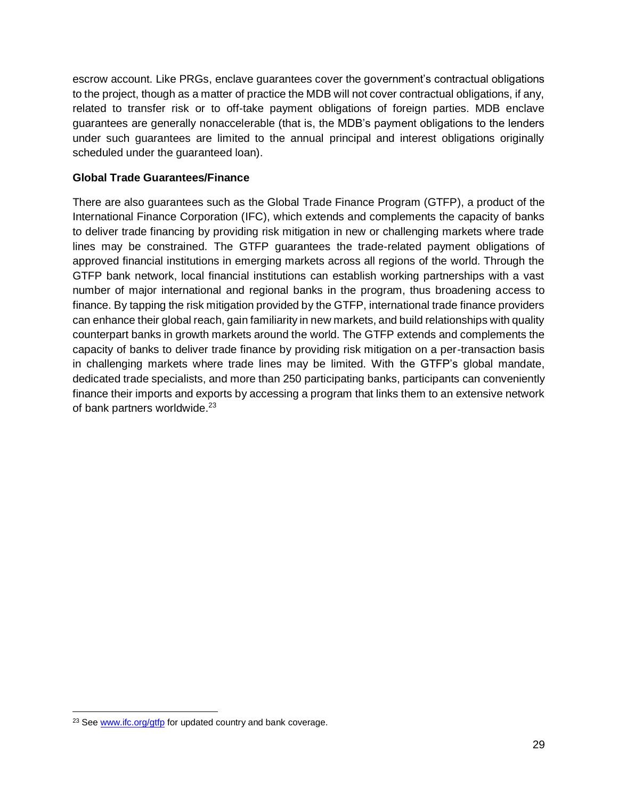escrow account. Like PRGs, enclave guarantees cover the government's contractual obligations to the project, though as a matter of practice the MDB will not cover contractual obligations, if any, related to transfer risk or to off-take payment obligations of foreign parties. MDB enclave guarantees are generally nonaccelerable (that is, the MDB's payment obligations to the lenders under such guarantees are limited to the annual principal and interest obligations originally scheduled under the guaranteed loan).

#### **Global Trade Guarantees/Finance**

There are also guarantees such as the Global Trade Finance Program (GTFP), a product of the International Finance Corporation (IFC), which extends and complements the capacity of banks to deliver trade financing by providing risk mitigation in new or challenging markets where trade lines may be constrained. The GTFP guarantees the trade-related payment obligations of approved financial institutions in emerging markets across all regions of the world. Through the GTFP bank network, local financial institutions can establish working partnerships with a vast number of major international and regional banks in the program, thus broadening access to finance. By tapping the risk mitigation provided by the GTFP, international trade finance providers can enhance their global reach, gain familiarity in new markets, and build relationships with quality counterpart banks in growth markets around the world. The GTFP extends and complements the capacity of banks to deliver trade finance by providing risk mitigation on a per-transaction basis in challenging markets where trade lines may be limited. With the GTFP's global mandate, dedicated trade specialists, and more than 250 participating banks, participants can conveniently finance their imports and exports by accessing a program that links them to an extensive network of bank partners worldwide.<sup>23</sup>

 $\overline{a}$ 

<sup>&</sup>lt;sup>23</sup> Se[e www.ifc.org/gtfp](http://www.ifc.org/gtfp) for updated country and bank coverage.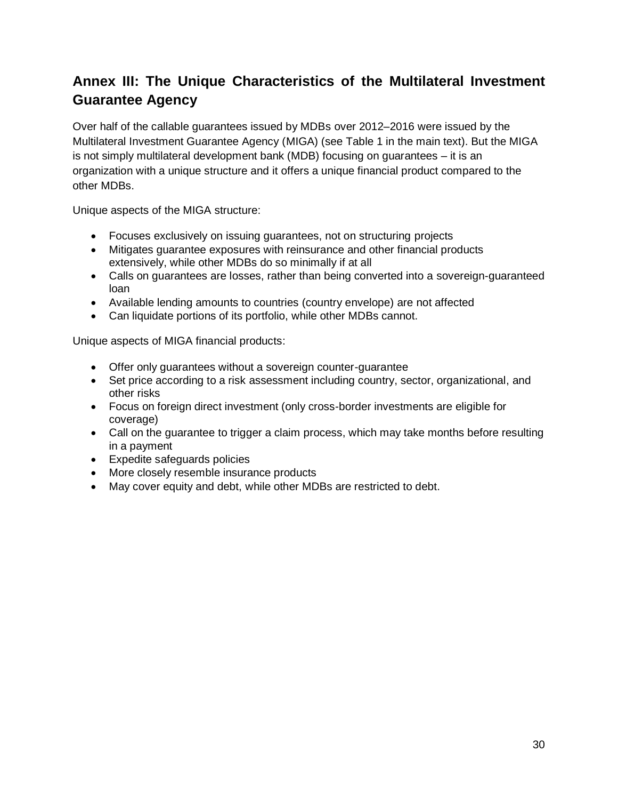## **Annex III: The Unique Characteristics of the Multilateral Investment Guarantee Agency**

Over half of the callable guarantees issued by MDBs over 2012–2016 were issued by the Multilateral Investment Guarantee Agency (MIGA) (see Table 1 in the main text). But the MIGA is not simply multilateral development bank (MDB) focusing on guarantees – it is an organization with a unique structure and it offers a unique financial product compared to the other MDBs.

Unique aspects of the MIGA structure:

- Focuses exclusively on issuing guarantees, not on structuring projects
- Mitigates guarantee exposures with reinsurance and other financial products extensively, while other MDBs do so minimally if at all
- Calls on guarantees are losses, rather than being converted into a sovereign-guaranteed loan
- Available lending amounts to countries (country envelope) are not affected
- Can liquidate portions of its portfolio, while other MDBs cannot.

Unique aspects of MIGA financial products:

- Offer only guarantees without a sovereign counter-guarantee
- Set price according to a risk assessment including country, sector, organizational, and other risks
- Focus on foreign direct investment (only cross-border investments are eligible for coverage)
- Call on the guarantee to trigger a claim process, which may take months before resulting in a payment
- Expedite safeguards policies
- More closely resemble insurance products
- May cover equity and debt, while other MDBs are restricted to debt.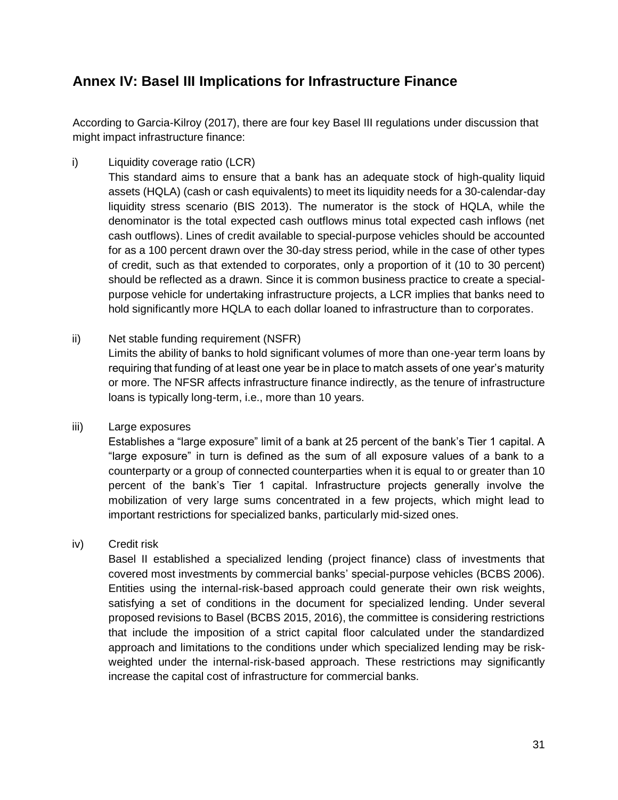## **Annex IV: Basel III Implications for Infrastructure Finance**

According to Garcia-Kilroy (2017), there are four key Basel III regulations under discussion that might impact infrastructure finance:

i) Liquidity coverage ratio (LCR)

This standard aims to ensure that a bank has an adequate stock of high-quality liquid assets (HQLA) (cash or cash equivalents) to meet its liquidity needs for a 30-calendar-day liquidity stress scenario (BIS 2013). The numerator is the stock of HQLA, while the denominator is the total expected cash outflows minus total expected cash inflows (net cash outflows). Lines of credit available to special-purpose vehicles should be accounted for as a 100 percent drawn over the 30-day stress period, while in the case of other types of credit, such as that extended to corporates, only a proportion of it (10 to 30 percent) should be reflected as a drawn. Since it is common business practice to create a specialpurpose vehicle for undertaking infrastructure projects, a LCR implies that banks need to hold significantly more HQLA to each dollar loaned to infrastructure than to corporates.

ii) Net stable funding requirement (NSFR)

Limits the ability of banks to hold significant volumes of more than one-year term loans by requiring that funding of at least one year be in place to match assets of one year's maturity or more. The NFSR affects infrastructure finance indirectly, as the tenure of infrastructure loans is typically long-term, i.e., more than 10 years.

iii) Large exposures

Establishes a "large exposure" limit of a bank at 25 percent of the bank's Tier 1 capital. A "large exposure" in turn is defined as the sum of all exposure values of a bank to a counterparty or a group of connected counterparties when it is equal to or greater than 10 percent of the bank's Tier 1 capital. Infrastructure projects generally involve the mobilization of very large sums concentrated in a few projects, which might lead to important restrictions for specialized banks, particularly mid-sized ones.

#### iv) Credit risk

Basel II established a specialized lending (project finance) class of investments that covered most investments by commercial banks' special-purpose vehicles (BCBS 2006). Entities using the internal-risk-based approach could generate their own risk weights, satisfying a set of conditions in the document for specialized lending. Under several proposed revisions to Basel (BCBS 2015, 2016), the committee is considering restrictions that include the imposition of a strict capital floor calculated under the standardized approach and limitations to the conditions under which specialized lending may be riskweighted under the internal-risk-based approach. These restrictions may significantly increase the capital cost of infrastructure for commercial banks.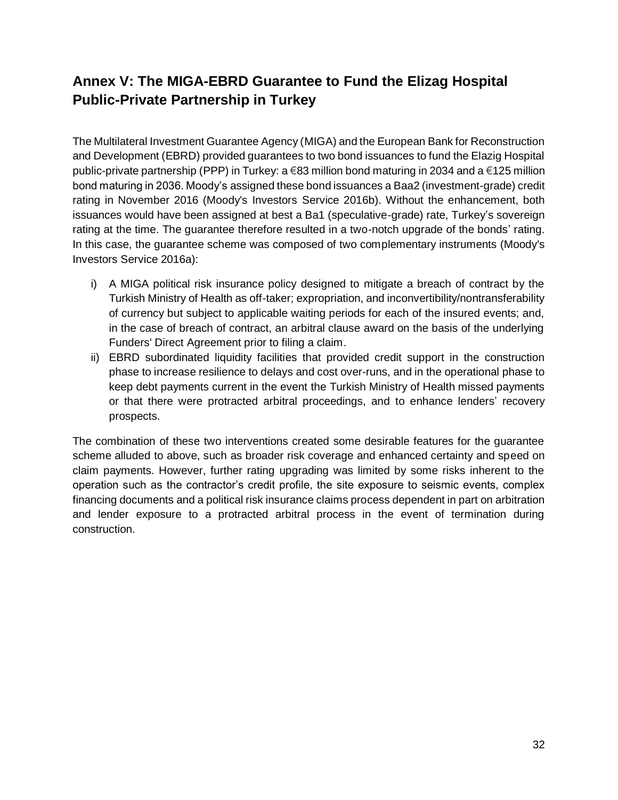## **Annex V: The MIGA-EBRD Guarantee to Fund the Elizag Hospital Public-Private Partnership in Turkey**

The Multilateral Investment Guarantee Agency (MIGA) and the European Bank for Reconstruction and Development (EBRD) provided guarantees to two bond issuances to fund the Elazig Hospital public-private partnership (PPP) in Turkey: a €83 million bond maturing in 2034 and a €125 million bond maturing in 2036. Moody's assigned these bond issuances a Baa2 (investment-grade) credit rating in November 2016 (Moody's Investors Service 2016b). Without the enhancement, both issuances would have been assigned at best a Ba1 (speculative-grade) rate, Turkey's sovereign rating at the time. The guarantee therefore resulted in a two-notch upgrade of the bonds' rating. In this case, the guarantee scheme was composed of two complementary instruments (Moody's Investors Service 2016a):

- i) A MIGA political risk insurance policy designed to mitigate a breach of contract by the Turkish Ministry of Health as off-taker; expropriation, and inconvertibility/nontransferability of currency but subject to applicable waiting periods for each of the insured events; and, in the case of breach of contract, an arbitral clause award on the basis of the underlying Funders' Direct Agreement prior to filing a claim.
- ii) EBRD subordinated liquidity facilities that provided credit support in the construction phase to increase resilience to delays and cost over-runs, and in the operational phase to keep debt payments current in the event the Turkish Ministry of Health missed payments or that there were protracted arbitral proceedings, and to enhance lenders' recovery prospects.

The combination of these two interventions created some desirable features for the guarantee scheme alluded to above, such as broader risk coverage and enhanced certainty and speed on claim payments. However, further rating upgrading was limited by some risks inherent to the operation such as the contractor's credit profile, the site exposure to seismic events, complex financing documents and a political risk insurance claims process dependent in part on arbitration and lender exposure to a protracted arbitral process in the event of termination during construction.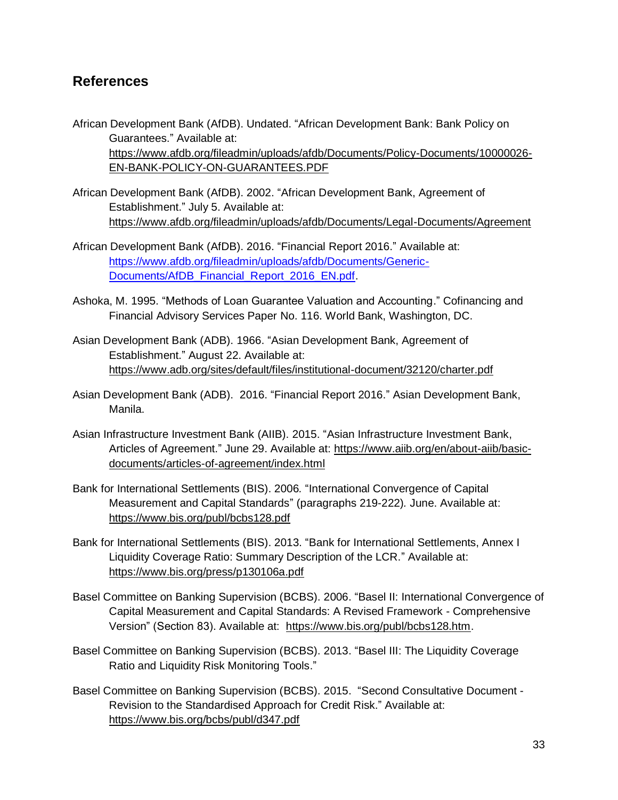### **References**

- African Development Bank (AfDB). Undated. "African Development Bank: Bank Policy on Guarantees." Available at: [https://www.afdb.org/fileadmin/uploads/afdb/Documents/Policy-Documents/10000026-](https://www.afdb.org/fileadmin/uploads/afdb/Documents/Policy-Documents/10000026-EN-BANK-POLICY-ON-GUARANTEES.PDF) [EN-BANK-POLICY-ON-GUARANTEES.PDF](https://www.afdb.org/fileadmin/uploads/afdb/Documents/Policy-Documents/10000026-EN-BANK-POLICY-ON-GUARANTEES.PDF)
- African Development Bank (AfDB). 2002. "African Development Bank, Agreement of Establishment." July 5. Available at: <https://www.afdb.org/fileadmin/uploads/afdb/Documents/Legal-Documents/Agreement>
- African Development Bank (AfDB). 2016. "Financial Report 2016." Available at: [https://www.afdb.org/fileadmin/uploads/afdb/Documents/Generic-](https://www.afdb.org/fileadmin/uploads/afdb/Documents/Generic-Documents/AfDB_Financial_Report_2016_EN.pdf)[Documents/AfDB\\_Financial\\_Report\\_2016\\_EN.pdf.](https://www.afdb.org/fileadmin/uploads/afdb/Documents/Generic-Documents/AfDB_Financial_Report_2016_EN.pdf)
- Ashoka, M. 1995. "Methods of Loan Guarantee Valuation and Accounting." Cofinancing and Financial Advisory Services Paper No. 116. World Bank, Washington, DC.
- Asian Development Bank (ADB). 1966. "Asian Development Bank, Agreement of Establishment." August 22. Available at: <https://www.adb.org/sites/default/files/institutional-document/32120/charter.pdf>
- Asian Development Bank (ADB). 2016. "Financial Report 2016." Asian Development Bank, Manila.
- Asian Infrastructure Investment Bank (AIIB). 2015. "Asian Infrastructure Investment Bank, Articles of Agreement." June 29. Available at: [https://www.aiib.org/en/about-aiib/basic](https://www.aiib.org/en/about-aiib/basic-documents/articles-of-agreement/index.html)[documents/articles-of-agreement/index.html](https://www.aiib.org/en/about-aiib/basic-documents/articles-of-agreement/index.html)
- Bank for International Settlements (BIS). 2006*.* "International Convergence of Capital Measurement and Capital Standards" (paragraphs 219-222)*.* June. Available at: <https://www.bis.org/publ/bcbs128.pdf>
- Bank for International Settlements (BIS). 2013. "Bank for International Settlements, Annex I Liquidity Coverage Ratio: Summary Description of the LCR." Available at: <https://www.bis.org/press/p130106a.pdf>
- Basel Committee on Banking Supervision (BCBS). 2006. "Basel II: International Convergence of Capital Measurement and Capital Standards: A Revised Framework - Comprehensive Version" (Section 83). Available at: [https://www.bis.org/publ/bcbs128.htm.](https://www.bis.org/publ/bcbs128.htm)
- Basel Committee on Banking Supervision (BCBS). 2013. "Basel III: The Liquidity Coverage Ratio and Liquidity Risk Monitoring Tools."
- Basel Committee on Banking Supervision (BCBS). 2015. "Second Consultative Document Revision to the Standardised Approach for Credit Risk." Available at: <https://www.bis.org/bcbs/publ/d347.pdf>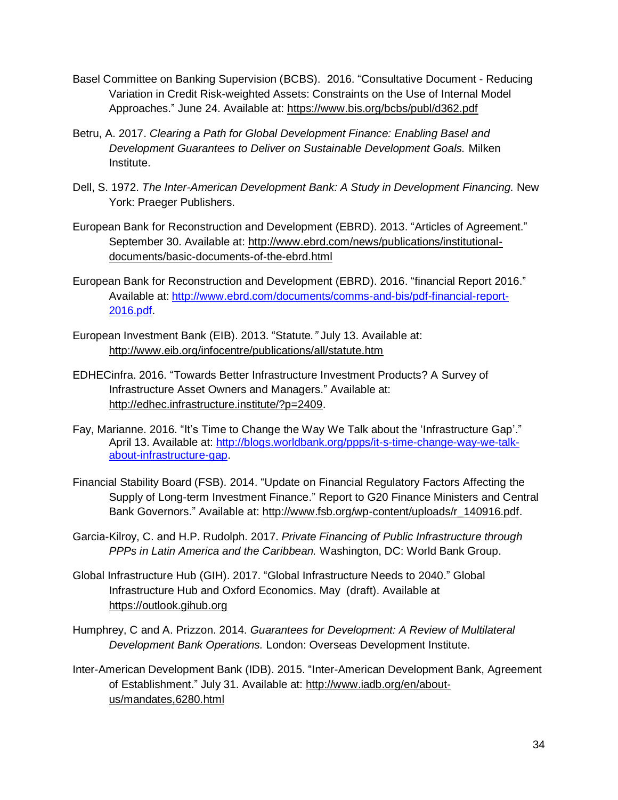- Basel Committee on Banking Supervision (BCBS). 2016. "Consultative Document Reducing Variation in Credit Risk-weighted Assets: Constraints on the Use of Internal Model Approaches." June 24. Available at: <https://www.bis.org/bcbs/publ/d362.pdf>
- Betru, A. 2017. *Clearing a Path for Global Development Finance: Enabling Basel and Development Guarantees to Deliver on Sustainable Development Goals.* Milken Institute.
- Dell, S. 1972. *The Inter-American Development Bank: A Study in Development Financing.* New York: Praeger Publishers.
- European Bank for Reconstruction and Development (EBRD). 2013. "Articles of Agreement." September 30. Available at: [http://www.ebrd.com/news/publications/institutional](http://www.ebrd.com/news/publications/institutional-documents/basic-documents-of-the-ebrd.html)[documents/basic-documents-of-the-ebrd.html](http://www.ebrd.com/news/publications/institutional-documents/basic-documents-of-the-ebrd.html)
- European Bank for Reconstruction and Development (EBRD). 2016. "financial Report 2016." Available at: [http://www.ebrd.com/documents/comms-and-bis/pdf-financial-report-](http://www.ebrd.com/documents/comms-and-bis/pdf-financial-report-2016.pdf)[2016.pdf.](http://www.ebrd.com/documents/comms-and-bis/pdf-financial-report-2016.pdf)
- European Investment Bank (EIB). 2013. "Statute*."* July 13. Available at: <http://www.eib.org/infocentre/publications/all/statute.htm>
- EDHECinfra. 2016. "Towards Better Infrastructure Investment Products? A Survey of Infrastructure Asset Owners and Managers." Available at: [http://edhec.infrastructure.institute/?p=2409.](http://edhec.infrastructure.institute/?p=2409)
- Fay, Marianne. 2016. "It's Time to Change the Way We Talk about the 'Infrastructure Gap'." April 13. Available at: http://blogs.worldbank.org/ppps/it-s-time-change-way-we-talkabout-infrastructure-gap.
- Financial Stability Board (FSB). 2014. "Update on Financial Regulatory Factors Affecting the Supply of Long-term Investment Finance." Report to G20 Finance Ministers and Central Bank Governors." Available at: [http://www.fsb.org/wp-content/uploads/r\\_140916.pdf.](http://www.fsb.org/wp-content/uploads/r_140916.pdf)
- Garcia-Kilroy, C. and H.P. Rudolph. 2017. *Private Financing of Public Infrastructure through PPPs in Latin America and the Caribbean.* Washington, DC: World Bank Group.
- Global Infrastructure Hub (GIH). 2017. "Global Infrastructure Needs to 2040." Global Infrastructure Hub and Oxford Economics. May (draft). Available at [https://outlook.gihub.org](https://outlook.gihub.org/)
- Humphrey, C and A. Prizzon. 2014. *Guarantees for Development: A Review of Multilateral Development Bank Operations.* London: Overseas Development Institute.
- Inter-American Development Bank (IDB). 2015. "Inter-American Development Bank, Agreement of Establishment." July 31. Available at: [http://www.iadb.org/en/about](http://www.iadb.org/en/about-us/mandates,6280.html)[us/mandates,6280.html](http://www.iadb.org/en/about-us/mandates,6280.html)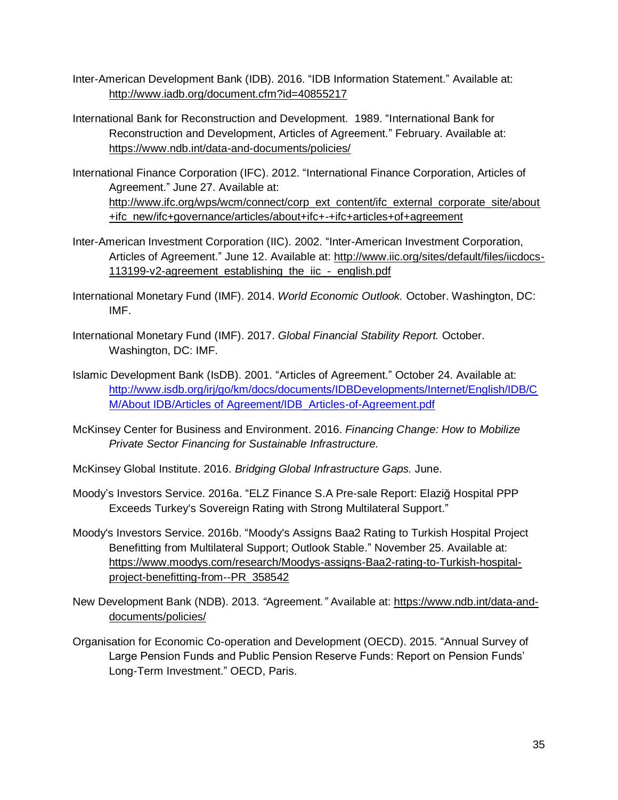- Inter-American Development Bank (IDB). 2016. "IDB Information Statement." Available at: <http://www.iadb.org/document.cfm?id=40855217>
- International Bank for Reconstruction and Development. 1989. "International Bank for Reconstruction and Development, Articles of Agreement." February. Available at: <https://www.ndb.int/data-and-documents/policies/>
- International Finance Corporation (IFC). 2012. "International Finance Corporation, Articles of Agreement." June 27. Available at: [http://www.ifc.org/wps/wcm/connect/corp\\_ext\\_content/ifc\\_external\\_corporate\\_site/about](http://www.ifc.org/wps/wcm/connect/corp_ext_content/ifc_external_corporate_site/about+ifc_new/ifc+governance/articles/about+ifc+-+ifc+articles+of+agreement) [+ifc\\_new/ifc+governance/articles/about+ifc+-+ifc+articles+of+agreement](http://www.ifc.org/wps/wcm/connect/corp_ext_content/ifc_external_corporate_site/about+ifc_new/ifc+governance/articles/about+ifc+-+ifc+articles+of+agreement)
- Inter-American Investment Corporation (IIC). 2002. "Inter-American Investment Corporation, Articles of Agreement." June 12. Available at: [http://www.iic.org/sites/default/files/iicdocs-](http://www.iic.org/sites/default/files/iicdocs-113199-v2-agreement_establishing_the_iic_-_english.pdf)[113199-v2-agreement\\_establishing\\_the\\_iic\\_-\\_english.pdf](http://www.iic.org/sites/default/files/iicdocs-113199-v2-agreement_establishing_the_iic_-_english.pdf)
- International Monetary Fund (IMF). 2014. *World Economic Outlook.* October. Washington, DC: IMF.
- International Monetary Fund (IMF). 2017. *Global Financial Stability Report.* October. Washington, DC: IMF.
- Islamic Development Bank (IsDB). 2001. "Articles of Agreement." October 24. Available at: [http://www.isdb.org/irj/go/km/docs/documents/IDBDevelopments/Internet/English/IDB/C](http://www.isdb.org/irj/go/km/docs/documents/IDBDevelopments/Internet/English/IDB/CM/About%20IDB/Articles%20of%20Agreement/IDB_Articles-of-Agreement.pdf) M/About [IDB/Articles of Agreement/IDB\\_Articles-of-Agreement.pdf](http://www.isdb.org/irj/go/km/docs/documents/IDBDevelopments/Internet/English/IDB/CM/About%20IDB/Articles%20of%20Agreement/IDB_Articles-of-Agreement.pdf)
- McKinsey Center for Business and Environment. 2016. *Financing Change: How to Mobilize Private Sector Financing for Sustainable Infrastructure.*

McKinsey Global Institute. 2016. *Bridging Global Infrastructure Gaps.* June.

- Moody's Investors Service. 2016a. "ELZ Finance S.A Pre-sale Report: Elaziğ Hospital PPP Exceeds Turkey's Sovereign Rating with Strong Multilateral Support."
- Moody's Investors Service. 2016b. "Moody's Assigns Baa2 Rating to Turkish Hospital Project Benefitting from Multilateral Support; Outlook Stable." November 25. Available at: [https://www.moodys.com/research/Moodys-assigns-Baa2-rating-to-Turkish-hospital](https://www.moodys.com/research/Moodys-assigns-Baa2-rating-to-Turkish-hospital-project-benefitting-from--PR_358542)[project-benefitting-from--PR\\_358542](https://www.moodys.com/research/Moodys-assigns-Baa2-rating-to-Turkish-hospital-project-benefitting-from--PR_358542)
- New Development Bank (NDB). 2013. *"*Agreement*."* Available at: [https://www.ndb.int/data-and](https://www.ndb.int/data-and-documents/policies/)[documents/policies/](https://www.ndb.int/data-and-documents/policies/)
- Organisation for Economic Co-operation and Development (OECD). 2015. "Annual Survey of Large Pension Funds and Public Pension Reserve Funds: Report on Pension Funds' Long-Term Investment." OECD, Paris.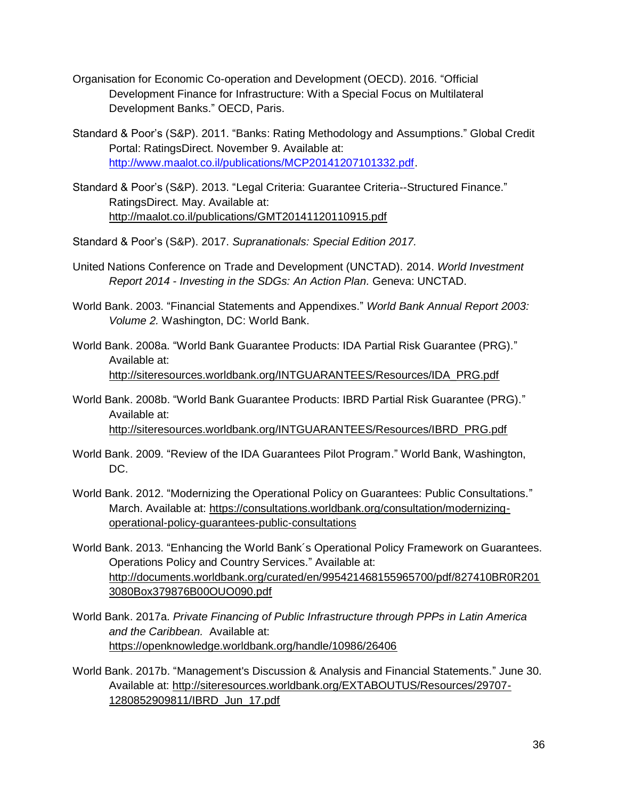- Organisation for Economic Co-operation and Development (OECD). 2016. "Official Development Finance for Infrastructure: With a Special Focus on Multilateral Development Banks." OECD, Paris.
- Standard & Poor's (S&P). 2011. "Banks: Rating Methodology and Assumptions." Global Credit Portal: RatingsDirect. November 9. Available at: [http://www.maalot.co.il/publications/MCP20141207101332.pdf.](http://www.maalot.co.il/publications/MCP20141207101332.pdf)
- Standard & Poor's (S&P). 2013. "Legal Criteria: Guarantee Criteria--Structured Finance." RatingsDirect. May. Available at: <http://maalot.co.il/publications/GMT20141120110915.pdf>
- Standard & Poor's (S&P). 2017. *Supranationals: Special Edition 2017.*
- United Nations Conference on Trade and Development (UNCTAD). 2014. *World Investment Report 2014 - Investing in the SDGs: An Action Plan.* Geneva: UNCTAD.
- World Bank. 2003. "Financial Statements and Appendixes." *World Bank Annual Report 2003: Volume 2.* Washington, DC: World Bank.
- World Bank. 2008a. "World Bank Guarantee Products: IDA Partial Risk Guarantee (PRG)." Available at: [http://siteresources.worldbank.org/INTGUARANTEES/Resources/IDA\\_PRG.pdf](http://siteresources.worldbank.org/INTGUARANTEES/Resources/IDA_PRG.pdf)
- World Bank. 2008b. "World Bank Guarantee Products: IBRD Partial Risk Guarantee (PRG)." Available at: [http://siteresources.worldbank.org/INTGUARANTEES/Resources/IBRD\\_PRG.pdf](http://siteresources.worldbank.org/INTGUARANTEES/Resources/IBRD_PRG.pdf)
- World Bank. 2009. "Review of the IDA Guarantees Pilot Program." World Bank, Washington, DC.
- World Bank. 2012. "Modernizing the Operational Policy on Guarantees: Public Consultations." March. Available at: [https://consultations.worldbank.org/consultation/modernizing](https://consultations.worldbank.org/consultation/modernizing-operational-policy-guarantees-public-consultations)[operational-policy-guarantees-public-consultations](https://consultations.worldbank.org/consultation/modernizing-operational-policy-guarantees-public-consultations)
- World Bank. 2013. "Enhancing the World Bank´s Operational Policy Framework on Guarantees. Operations Policy and Country Services." Available at: [http://documents.worldbank.org/curated/en/995421468155965700/pdf/827410BR0R201](http://documents.worldbank.org/curated/en/995421468155965700/pdf/827410BR0R2013080Box379876B00OUO090.pdf) [3080Box379876B00OUO090.pdf](http://documents.worldbank.org/curated/en/995421468155965700/pdf/827410BR0R2013080Box379876B00OUO090.pdf)
- World Bank. 2017a. *Private Financing of Public Infrastructure through PPPs in Latin America and the Caribbean.* Available at: <https://openknowledge.worldbank.org/handle/10986/26406>
- World Bank. 2017b. "Management's Discussion & Analysis and Financial Statements." June 30. Available at: [http://siteresources.worldbank.org/EXTABOUTUS/Resources/29707-](http://siteresources.worldbank.org/EXTABOUTUS/Resources/29707-1280852909811/IBRD_Jun_17.pdf) [1280852909811/IBRD\\_Jun\\_17.pdf](http://siteresources.worldbank.org/EXTABOUTUS/Resources/29707-1280852909811/IBRD_Jun_17.pdf)